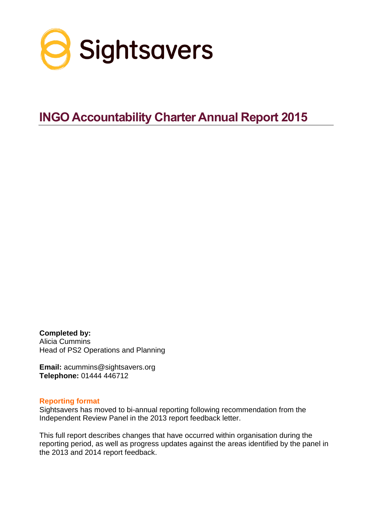

# **INGO Accountability Charter Annual Report 2015**

**Completed by:** Alicia Cummins Head of PS2 Operations and Planning

**Email:** acummins@sightsavers.org **Telephone:** 01444 446712

#### **Reporting format**

Sightsavers has moved to bi-annual reporting following recommendation from the Independent Review Panel in the 2013 report feedback letter.

This full report describes changes that have occurred within organisation during the reporting period, as well as progress updates against the areas identified by the panel in the 2013 and 2014 report feedback.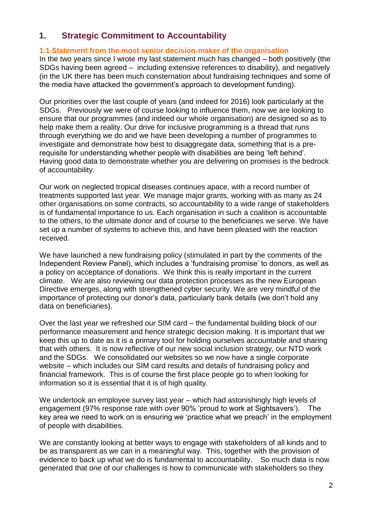# **1. Strategic Commitment to Accountability**

# **1.1 Statement from the most senior decision-maker of the organisation**

In the two years since I wrote my last statement much has changed – both positively (the SDGs having been agreed – including extensive references to disability), and negatively (in the UK there has been much consternation about fundraising techniques and some of the media have attacked the government's approach to development funding).

Our priorities over the last couple of years (and indeed for 2016) look particularly at the SDGs. Previously we were of course looking to influence them, now we are looking to ensure that our programmes (and indeed our whole organisation) are designed so as to help make them a reality. Our drive for inclusive programming is a thread that runs through everything we do and we have been developing a number of programmes to investigate and demonstrate how best to disaggregate data, something that is a prerequisite for understanding whether people with disabilities are being 'left behind'. Having good data to demonstrate whether you are delivering on promises is the bedrock of accountability.

Our work on neglected tropical diseases continues apace, with a record number of treatments supported last year. We manage major grants, working with as many as 24 other organisations on some contracts, so accountability to a wide range of stakeholders is of fundamental importance to us. Each organisation in such a coalition is accountable to the others, to the ultimate donor and of course to the beneficiaries we serve. We have set up a number of systems to achieve this, and have been pleased with the reaction received.

We have launched a new fundraising policy (stimulated in part by the comments of the Independent Review Panel), which includes a 'fundraising promise' to donors, as well as a policy on acceptance of donations. We think this is really important in the current climate. We are also reviewing our data protection processes as the new European Directive emerges, along with strengthened cyber security. We are very mindful of the importance of protecting our donor's data, particularly bank details (we don't hold any data on beneficiaries).

Over the last year we refreshed our SIM card – the fundamental building block of our performance measurement and hence strategic decision making. It is important that we keep this up to date as it is a primary tool for holding ourselves accountable and sharing that with others. It is now reflective of our new social inclusion strategy, our NTD work and the SDGs. We consolidated our websites so we now have a single corporate website – which includes our SIM card results and details of fundraising policy and financial framework. This is of course the first place people go to when looking for information so it is essential that it is of high quality.

We undertook an employee survey last year – which had astonishingly high levels of engagement (97% response rate with over 90% 'proud to work at Sightsavers'). The key area we need to work on is ensuring we 'practice what we preach' in the employment of people with disabilities.

We are constantly looking at better ways to engage with stakeholders of all kinds and to be as transparent as we can in a meaningful way. This, together with the provision of evidence to back up what we do is fundamental to accountability. So much data is now generated that one of our challenges is how to communicate with stakeholders so they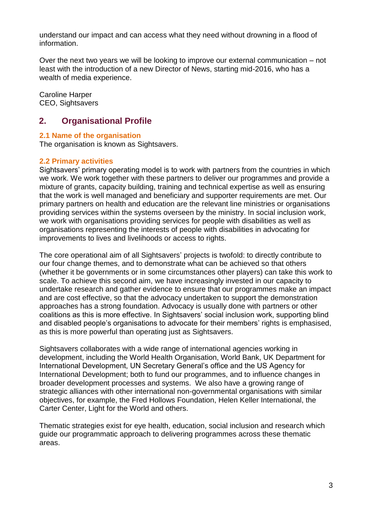understand our impact and can access what they need without drowning in a flood of information.

Over the next two years we will be looking to improve our external communication – not least with the introduction of a new Director of News, starting mid-2016, who has a wealth of media experience.

Caroline Harper CEO, Sightsavers

# **2. Organisational Profile**

# **2.1 Name of the organisation**

The organisation is known as Sightsavers.

# **2.2 Primary activities**

Sightsavers' primary operating model is to work with partners from the countries in which we work. We work together with these partners to deliver our programmes and provide a mixture of grants, capacity building, training and technical expertise as well as ensuring that the work is well managed and beneficiary and supporter requirements are met. Our primary partners on health and education are the relevant line ministries or organisations providing services within the systems overseen by the ministry. In social inclusion work, we work with organisations providing services for people with disabilities as well as organisations representing the interests of people with disabilities in advocating for improvements to lives and livelihoods or access to rights.

The core operational aim of all Sightsavers' projects is twofold: to directly contribute to our four change themes, and to demonstrate what can be achieved so that others (whether it be governments or in some circumstances other players) can take this work to scale. To achieve this second aim, we have increasingly invested in our capacity to undertake research and gather evidence to ensure that our programmes make an impact and are cost effective, so that the advocacy undertaken to support the demonstration approaches has a strong foundation. Advocacy is usually done with partners or other coalitions as this is more effective. In Sightsavers' social inclusion work, supporting blind and disabled people's organisations to advocate for their members' rights is emphasised, as this is more powerful than operating just as Sightsavers.

Sightsavers collaborates with a wide range of international agencies working in development, including the World Health Organisation, World Bank, UK Department for International Development, UN Secretary General's office and the US Agency for International Development; both to fund our programmes, and to influence changes in broader development processes and systems. We also have a growing range of strategic alliances with other international non-governmental organisations with similar objectives, for example, the Fred Hollows Foundation, Helen Keller International, the Carter Center, Light for the World and others.

Thematic strategies exist for eye health, education, social inclusion and research which guide our programmatic approach to delivering programmes across these thematic areas.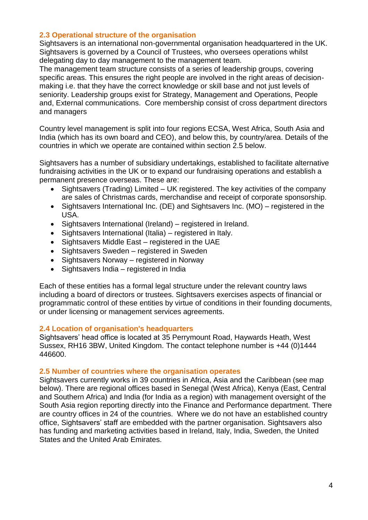#### **2.3 Operational structure of the organisation**

Sightsavers is an international non-governmental organisation headquartered in the UK. Sightsavers is governed by a Council of Trustees, who oversees operations whilst delegating day to day management to the management team.

The management team structure consists of a series of leadership groups, covering specific areas. This ensures the right people are involved in the right areas of decisionmaking i.e. that they have the correct knowledge or skill base and not just levels of seniority. Leadership groups exist for Strategy, Management and Operations, People and, External communications. Core membership consist of cross department directors and managers

Country level management is split into four regions ECSA, West Africa, South Asia and India (which has its own board and CEO), and below this, by country/area. Details of the countries in which we operate are contained within section 2.5 below.

Sightsavers has a number of subsidiary undertakings, established to facilitate alternative fundraising activities in the UK or to expand our fundraising operations and establish a permanent presence overseas. These are:

- Sightsavers (Trading) Limited UK registered. The key activities of the company are sales of Christmas cards, merchandise and receipt of corporate sponsorship.
- Sightsavers International Inc. (DE) and Sightsavers Inc. (MO) registered in the USA.
- Sightsavers International (Ireland) registered in Ireland.
- Sightsavers International (Italia) registered in Italy.
- Sightsavers Middle East registered in the UAE
- Sightsavers Sweden registered in Sweden
- Sightsavers Norway registered in Norway
- Sightsavers India registered in India

Each of these entities has a formal legal structure under the relevant country laws including a board of directors or trustees. Sightsavers exercises aspects of financial or programmatic control of these entities by virtue of conditions in their founding documents, or under licensing or management services agreements.

#### **2.4 Location of organisation's headquarters**

Sightsavers' head office is located at 35 Perrymount Road, Haywards Heath, West Sussex, RH16 3BW, United Kingdom. The contact telephone number is +44 (0)1444 446600.

#### **2.5 Number of countries where the organisation operates**

Sightsavers currently works in 39 countries in Africa, Asia and the Caribbean (see map below). There are regional offices based in Senegal (West Africa), Kenya (East, Central and Southern Africa) and India (for India as a region) with management oversight of the South Asia region reporting directly into the Finance and Performance department. There are country offices in 24 of the countries. Where we do not have an established country office, Sightsavers' staff are embedded with the partner organisation. Sightsavers also has funding and marketing activities based in Ireland, Italy, India, Sweden, the United States and the United Arab Emirates.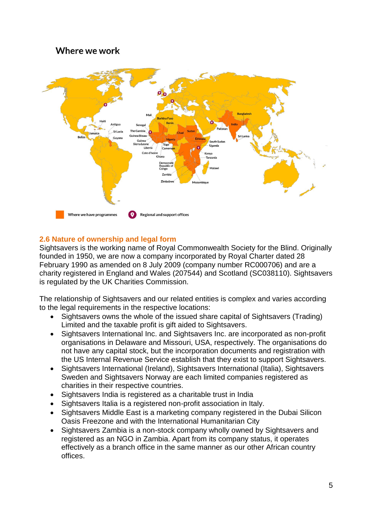# Where we work



# **2.6 Nature of ownership and legal form**

Sightsavers is the working name of Royal Commonwealth Society for the Blind. Originally founded in 1950, we are now a company incorporated by Royal Charter dated 28 February 1990 as amended on 8 July 2009 (company number RC000706) and are a charity registered in England and Wales (207544) and Scotland (SC038110). Sightsavers is regulated by the UK Charities Commission.

The relationship of Sightsavers and our related entities is complex and varies according to the legal requirements in the respective locations:

- Sightsavers owns the whole of the issued share capital of Sightsavers (Trading) Limited and the taxable profit is gift aided to Sightsavers.
- Sightsavers International Inc. and Sightsavers Inc. are incorporated as non-profit organisations in Delaware and Missouri, USA, respectively. The organisations do not have any capital stock, but the incorporation documents and registration with the US Internal Revenue Service establish that they exist to support Sightsavers.
- Sightsavers International (Ireland), Sightsavers International (Italia), Sightsavers Sweden and Sightsavers Norway are each limited companies registered as charities in their respective countries.
- Sightsavers India is registered as a charitable trust in India
- Sightsavers Italia is a registered non-profit association in Italy.
- Sightsavers Middle East is a marketing company registered in the Dubai Silicon Oasis Freezone and with the International Humanitarian City
- Sightsavers Zambia is a non-stock company wholly owned by Sightsavers and registered as an NGO in Zambia. Apart from its company status, it operates effectively as a branch office in the same manner as our other African country offices.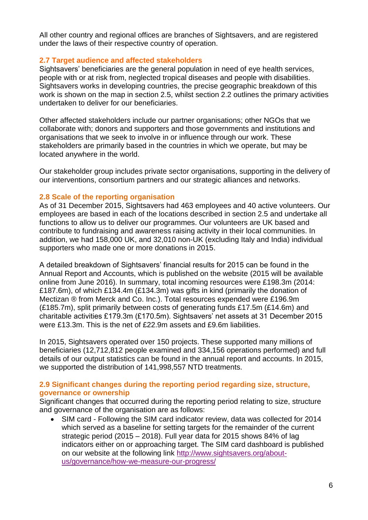All other country and regional offices are branches of Sightsavers, and are registered under the laws of their respective country of operation.

# **2.7 Target audience and affected stakeholders**

Sightsavers' beneficiaries are the general population in need of eye health services, people with or at risk from, neglected tropical diseases and people with disabilities. Sightsavers works in developing countries, the precise geographic breakdown of this work is shown on the map in section 2.5, whilst section 2.2 outlines the primary activities undertaken to deliver for our beneficiaries.

Other affected stakeholders include our partner organisations; other NGOs that we collaborate with; donors and supporters and those governments and institutions and organisations that we seek to involve in or influence through our work. These stakeholders are primarily based in the countries in which we operate, but may be located anywhere in the world.

Our stakeholder group includes private sector organisations, supporting in the delivery of our interventions, consortium partners and our strategic alliances and networks.

#### **2.8 Scale of the reporting organisation**

As of 31 December 2015, Sightsavers had 463 employees and 40 active volunteers. Our employees are based in each of the locations described in section 2.5 and undertake all functions to allow us to deliver our programmes. Our volunteers are UK based and contribute to fundraising and awareness raising activity in their local communities. In addition, we had 158,000 UK, and 32,010 non-UK (excluding Italy and India) individual supporters who made one or more donations in 2015.

A detailed breakdown of Sightsavers' financial results for 2015 can be found in the Annual Report and Accounts, which is published on the website (2015 will be available online from June 2016). In summary, total incoming resources were £198.3m (2014: £187.6m), of which £134.4m (£134.3m) was gifts in kind (primarily the donation of Mectizan ® from Merck and Co. Inc.). Total resources expended were £196.9m (£185.7m), split primarily between costs of generating funds £17.5m (£14.6m) and charitable activities £179.3m (£170.5m). Sightsavers' net assets at 31 December 2015 were £13.3m. This is the net of £22.9m assets and £9.6m liabilities.

In 2015, Sightsavers operated over 150 projects. These supported many millions of beneficiaries (12,712,812 people examined and 334,156 operations performed) and full details of our output statistics can be found in the annual report and accounts. In 2015, we supported the distribution of 141,998,557 NTD treatments.

# **2.9 Significant changes during the reporting period regarding size, structure, governance or ownership**

Significant changes that occurred during the reporting period relating to size, structure and governance of the organisation are as follows:

 SIM card - Following the SIM card indicator review, data was collected for 2014 which served as a baseline for setting targets for the remainder of the current strategic period (2015 – 2018). Full year data for 2015 shows 84% of lag indicators either on or approaching target. The SIM card dashboard is published on our website at the following link [http://www.sightsavers.org/about](http://www.sightsavers.org/about-us/governance/how-we-measure-our-progress/)[us/governance/how-we-measure-our-progress/](http://www.sightsavers.org/about-us/governance/how-we-measure-our-progress/)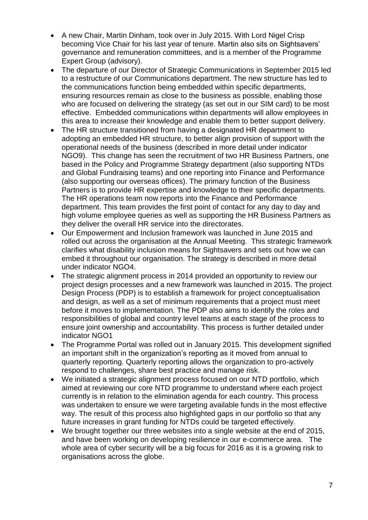- A new Chair, Martin Dinham, took over in July 2015. With Lord Nigel Crisp becoming Vice Chair for his last year of tenure. Martin also sits on Sightsavers' governance and remuneration committees, and is a member of the Programme Expert Group (advisory).
- The departure of our Director of Strategic Communications in September 2015 led to a restructure of our Communications department. The new structure has led to the communications function being embedded within specific departments, ensuring resources remain as close to the business as possible, enabling those who are focused on delivering the strategy (as set out in our SIM card) to be most effective. Embedded communications within departments will allow employees in this area to increase their knowledge and enable them to better support delivery.
- The HR structure transitioned from having a designated HR department to adopting an embedded HR structure, to better align provision of support with the operational needs of the business (described in more detail under indicator NGO9). This change has seen the recruitment of two HR Business Partners, one based in the Policy and Programme Strategy department (also supporting NTDs and Global Fundraising teams) and one reporting into Finance and Performance (also supporting our overseas offices). The primary function of the Business Partners is to provide HR expertise and knowledge to their specific departments. The HR operations team now reports into the Finance and Performance department. This team provides the first point of contact for any day to day and high volume employee queries as well as supporting the HR Business Partners as they deliver the overall HR service into the directorates.
- Our Empowerment and Inclusion framework was launched in June 2015 and rolled out across the organisation at the Annual Meeting. This strategic framework clarifies what disability inclusion means for Sightsavers and sets out how we can embed it throughout our organisation. The strategy is described in more detail under indicator NGO4.
- The strategic alignment process in 2014 provided an opportunity to review our project design processes and a new framework was launched in 2015. The project Design Process (PDP) is to establish a framework for project conceptualisation and design, as well as a set of minimum requirements that a project must meet before it moves to implementation. The PDP also aims to identify the roles and responsibilities of global and country level teams at each stage of the process to ensure joint ownership and accountability. This process is further detailed under indicator NGO1
- The Programme Portal was rolled out in January 2015. This development signified an important shift in the organization's reporting as it moved from annual to quarterly reporting. Quarterly reporting allows the organization to pro-actively respond to challenges, share best practice and manage risk.
- We initiated a strategic alignment process focused on our NTD portfolio, which aimed at reviewing our core NTD programme to understand where each project currently is in relation to the elimination agenda for each country. This process was undertaken to ensure we were targeting available funds in the most effective way. The result of this process also highlighted gaps in our portfolio so that any future increases in grant funding for NTDs could be targeted effectively.
- We brought together our three websites into a single website at the end of 2015, and have been working on developing resilience in our e-commerce area. The whole area of cyber security will be a big focus for 2016 as it is a growing risk to organisations across the globe.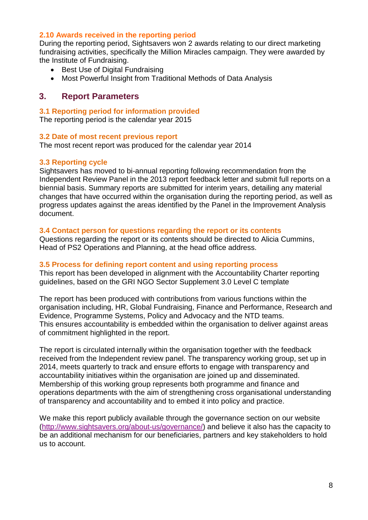#### **2.10 Awards received in the reporting period**

During the reporting period, Sightsavers won 2 awards relating to our direct marketing fundraising activities, specifically the Million Miracles campaign. They were awarded by the Institute of Fundraising.

- Best Use of Digital Fundraising
- Most Powerful Insight from Traditional Methods of Data Analysis

# **3. Report Parameters**

### **3.1 Reporting period for information provided**

The reporting period is the calendar year 2015

#### **3.2 Date of most recent previous report**

The most recent report was produced for the calendar year 2014

# **3.3 Reporting cycle**

Sightsavers has moved to bi-annual reporting following recommendation from the Independent Review Panel in the 2013 report feedback letter and submit full reports on a biennial basis. Summary reports are submitted for interim years, detailing any material changes that have occurred within the organisation during the reporting period, as well as progress updates against the areas identified by the Panel in the Improvement Analysis document.

# **3.4 Contact person for questions regarding the report or its contents**

Questions regarding the report or its contents should be directed to Alicia Cummins, Head of PS2 Operations and Planning, at the head office address.

#### **3.5 Process for defining report content and using reporting process**

This report has been developed in alignment with the Accountability Charter reporting guidelines, based on the GRI NGO Sector Supplement 3.0 Level C template

The report has been produced with contributions from various functions within the organisation including, HR, Global Fundraising, Finance and Performance, Research and Evidence, Programme Systems, Policy and Advocacy and the NTD teams. This ensures accountability is embedded within the organisation to deliver against areas of commitment highlighted in the report.

The report is circulated internally within the organisation together with the feedback received from the Independent review panel. The transparency working group, set up in 2014, meets quarterly to track and ensure efforts to engage with transparency and accountability initiatives within the organisation are joined up and disseminated. Membership of this working group represents both programme and finance and operations departments with the aim of strengthening cross organisational understanding of transparency and accountability and to embed it into policy and practice.

We make this report publicly available through the governance section on our website [\(http://www.sightsavers.org/about-us/governance/\)](http://www.sightsavers.org/about-us/governance/) and believe it also has the capacity to be an additional mechanism for our beneficiaries, partners and key stakeholders to hold us to account.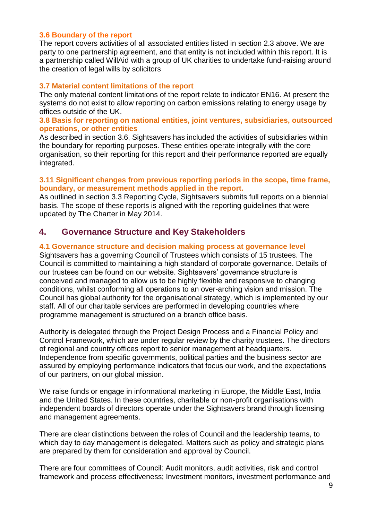#### **3.6 Boundary of the report**

The report covers activities of all associated entities listed in section 2.3 above. We are party to one partnership agreement, and that entity is not included within this report. It is a partnership called WillAid with a group of UK charities to undertake fund-raising around the creation of legal wills by solicitors

#### **3.7 Material content limitations of the report**

The only material content limitations of the report relate to indicator EN16. At present the systems do not exist to allow reporting on carbon emissions relating to energy usage by offices outside of the UK.

#### **3.8 Basis for reporting on national entities, joint ventures, subsidiaries, outsourced operations, or other entities**

As described in section 3.6, Sightsavers has included the activities of subsidiaries within the boundary for reporting purposes. These entities operate integrally with the core organisation, so their reporting for this report and their performance reported are equally integrated.

#### **3.11 Significant changes from previous reporting periods in the scope, time frame, boundary, or measurement methods applied in the report.**

As outlined in section 3.3 Reporting Cycle, Sightsavers submits full reports on a biennial basis. The scope of these reports is aligned with the reporting guidelines that were updated by The Charter in May 2014.

# **4. Governance Structure and Key Stakeholders**

#### **4.1 Governance structure and decision making process at governance level**

Sightsavers has a governing Council of Trustees which consists of 15 trustees. The Council is committed to maintaining a high standard of corporate governance. Details of our trustees can be found on our website. Sightsavers' governance structure is conceived and managed to allow us to be highly flexible and responsive to changing conditions, whilst conforming all operations to an over-arching vision and mission. The Council has global authority for the organisational strategy, which is implemented by our staff. All of our charitable services are performed in developing countries where programme management is structured on a branch office basis.

Authority is delegated through the Project Design Process and a Financial Policy and Control Framework, which are under regular review by the charity trustees. The directors of regional and country offices report to senior management at headquarters. Independence from specific governments, political parties and the business sector are assured by employing performance indicators that focus our work, and the expectations of our partners, on our global mission.

We raise funds or engage in informational marketing in Europe, the Middle East, India and the United States. In these countries, charitable or non-profit organisations with independent boards of directors operate under the Sightsavers brand through licensing and management agreements.

There are clear distinctions between the roles of Council and the leadership teams, to which day to day management is delegated. Matters such as policy and strategic plans are prepared by them for consideration and approval by Council.

There are four committees of Council: Audit monitors, audit activities, risk and control framework and process effectiveness; Investment monitors, investment performance and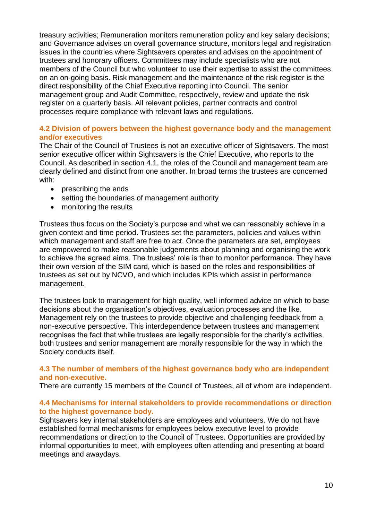treasury activities; Remuneration monitors remuneration policy and key salary decisions; and Governance advises on overall governance structure, monitors legal and registration issues in the countries where Sightsavers operates and advises on the appointment of trustees and honorary officers. Committees may include specialists who are not members of the Council but who volunteer to use their expertise to assist the committees on an on-going basis. Risk management and the maintenance of the risk register is the direct responsibility of the Chief Executive reporting into Council. The senior management group and Audit Committee, respectively, review and update the risk register on a quarterly basis. All relevant policies, partner contracts and control processes require compliance with relevant laws and regulations.

### **4.2 Division of powers between the highest governance body and the management and/or executives**

The Chair of the Council of Trustees is not an executive officer of Sightsavers. The most senior executive officer within Sightsavers is the Chief Executive, who reports to the Council. As described in section 4.1, the roles of the Council and management team are clearly defined and distinct from one another. In broad terms the trustees are concerned with:

- prescribing the ends
- setting the boundaries of management authority
- monitoring the results

Trustees thus focus on the Society's purpose and what we can reasonably achieve in a given context and time period. Trustees set the parameters, policies and values within which management and staff are free to act. Once the parameters are set, employees are empowered to make reasonable judgements about planning and organising the work to achieve the agreed aims. The trustees' role is then to monitor performance. They have their own version of the SIM card, which is based on the roles and responsibilities of trustees as set out by NCVO, and which includes KPIs which assist in performance management.

The trustees look to management for high quality, well informed advice on which to base decisions about the organisation's objectives, evaluation processes and the like. Management rely on the trustees to provide objective and challenging feedback from a non-executive perspective. This interdependence between trustees and management recognises the fact that while trustees are legally responsible for the charity's activities, both trustees and senior management are morally responsible for the way in which the Society conducts itself.

#### **4.3 The number of members of the highest governance body who are independent and non-executive.**

There are currently 15 members of the Council of Trustees, all of whom are independent.

#### **4.4 Mechanisms for internal stakeholders to provide recommendations or direction to the highest governance body.**

Sightsavers key internal stakeholders are employees and volunteers. We do not have established formal mechanisms for employees below executive level to provide recommendations or direction to the Council of Trustees. Opportunities are provided by informal opportunities to meet, with employees often attending and presenting at board meetings and awaydays.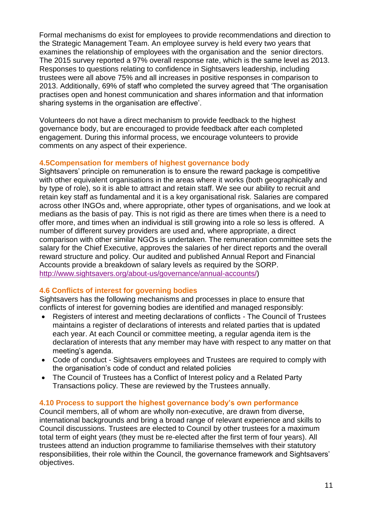Formal mechanisms do exist for employees to provide recommendations and direction to the Strategic Management Team. An employee survey is held every two years that examines the relationship of employees with the organisation and the senior directors. The 2015 survey reported a 97% overall response rate, which is the same level as 2013. Responses to questions relating to confidence in Sightsavers leadership, including trustees were all above 75% and all increases in positive responses in comparison to 2013. Additionally, 69% of staff who completed the survey agreed that 'The organisation practises open and honest communication and shares information and that information sharing systems in the organisation are effective'.

Volunteers do not have a direct mechanism to provide feedback to the highest governance body, but are encouraged to provide feedback after each completed engagement. During this informal process, we encourage volunteers to provide comments on any aspect of their experience.

# **4.5Compensation for members of highest governance body**

Sightsavers' principle on remuneration is to ensure the reward package is competitive with other equivalent organisations in the areas where it works (both geographically and by type of role), so it is able to attract and retain staff. We see our ability to recruit and retain key staff as fundamental and it is a key organisational risk. Salaries are compared across other INGOs and, where appropriate, other types of organisations, and we look at medians as the basis of pay. This is not rigid as there are times when there is a need to offer more, and times when an individual is still growing into a role so less is offered. A number of different survey providers are used and, where appropriate, a direct comparison with other similar NGOs is undertaken. The remuneration committee sets the salary for the Chief Executive, approves the salaries of her direct reports and the overall reward structure and policy. Our audited and published Annual Report and Financial Accounts provide a breakdown of salary levels as required by the SORP. [http://www.sightsavers.org/about-us/governance/annual-accounts/\)](http://www.sightsavers.org/about-us/governance/annual-accounts/)

# **4.6 Conflicts of interest for governing bodies**

Sightsavers has the following mechanisms and processes in place to ensure that conflicts of interest for governing bodies are identified and managed responsibly:

- Registers of interest and meeting declarations of conflicts The Council of Trustees maintains a register of declarations of interests and related parties that is updated each year. At each Council or committee meeting, a regular agenda item is the declaration of interests that any member may have with respect to any matter on that meeting's agenda.
- Code of conduct Sightsavers employees and Trustees are required to comply with the organisation's code of conduct and related policies
- The Council of Trustees has a Conflict of Interest policy and a Related Party Transactions policy. These are reviewed by the Trustees annually.

# **4.10 Process to support the highest governance body's own performance**

Council members, all of whom are wholly non-executive, are drawn from diverse, international backgrounds and bring a broad range of relevant experience and skills to Council discussions. Trustees are elected to Council by other trustees for a maximum total term of eight years (they must be re-elected after the first term of four years). All trustees attend an induction programme to familiarise themselves with their statutory responsibilities, their role within the Council, the governance framework and Sightsavers' objectives.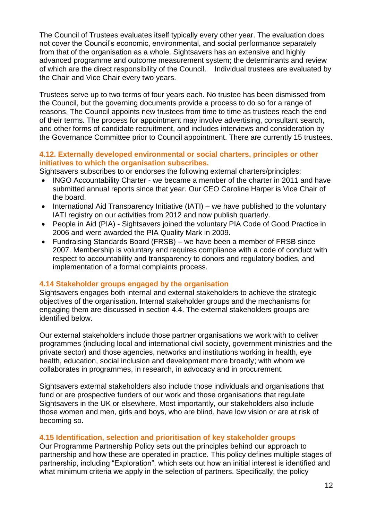The Council of Trustees evaluates itself typically every other year. The evaluation does not cover the Council's economic, environmental, and social performance separately from that of the organisation as a whole. Sightsavers has an extensive and highly advanced programme and outcome measurement system; the determinants and review of which are the direct responsibility of the Council. Individual trustees are evaluated by the Chair and Vice Chair every two years.

Trustees serve up to two terms of four years each. No trustee has been dismissed from the Council, but the governing documents provide a process to do so for a range of reasons. The Council appoints new trustees from time to time as trustees reach the end of their terms. The process for appointment may involve advertising, consultant search, and other forms of candidate recruitment, and includes interviews and consideration by the Governance Committee prior to Council appointment. There are currently 15 trustees.

# **4.12. Externally developed environmental or social charters, principles or other initiatives to which the organisation subscribes.**

Sightsavers subscribes to or endorses the following external charters/principles:

- INGO Accountability Charter we became a member of the charter in 2011 and have submitted annual reports since that year. Our CEO Caroline Harper is Vice Chair of the board.
- International Aid Transparency Initiative (IATI) we have published to the voluntary IATI registry on our activities from 2012 and now publish quarterly.
- People in Aid (PIA) Sightsavers joined the voluntary PIA Code of Good Practice in 2006 and were awarded the PIA Quality Mark in 2009.
- Fundraising Standards Board (FRSB) we have been a member of FRSB since 2007. Membership is voluntary and requires compliance with a code of conduct with respect to accountability and transparency to donors and regulatory bodies, and implementation of a formal complaints process.

# **4.14 Stakeholder groups engaged by the organisation**

Sightsavers engages both internal and external stakeholders to achieve the strategic objectives of the organisation. Internal stakeholder groups and the mechanisms for engaging them are discussed in section 4.4. The external stakeholders groups are identified below.

Our external stakeholders include those partner organisations we work with to deliver programmes (including local and international civil society, government ministries and the private sector) and those agencies, networks and institutions working in health, eye health, education, social inclusion and development more broadly; with whom we collaborates in programmes, in research, in advocacy and in procurement.

Sightsavers external stakeholders also include those individuals and organisations that fund or are prospective funders of our work and those organisations that regulate Sightsavers in the UK or elsewhere. Most importantly, our stakeholders also include those women and men, girls and boys, who are blind, have low vision or are at risk of becoming so.

#### **4.15 Identification, selection and prioritisation of key stakeholder groups**

Our Programme Partnership Policy sets out the principles behind our approach to partnership and how these are operated in practice. This policy defines multiple stages of partnership, including "Exploration", which sets out how an initial interest is identified and what minimum criteria we apply in the selection of partners. Specifically, the policy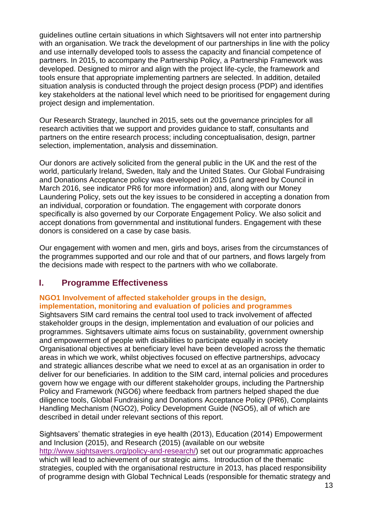guidelines outline certain situations in which Sightsavers will not enter into partnership with an organisation. We track the development of our partnerships in line with the policy and use internally developed tools to assess the capacity and financial competence of partners. In 2015, to accompany the Partnership Policy, a Partnership Framework was developed. Designed to mirror and align with the project life-cycle, the framework and tools ensure that appropriate implementing partners are selected. In addition, detailed situation analysis is conducted through the project design process (PDP) and identifies key stakeholders at the national level which need to be prioritised for engagement during project design and implementation.

Our Research Strategy, launched in 2015, sets out the governance principles for all research activities that we support and provides guidance to staff, consultants and partners on the entire research process; including conceptualisation, design, partner selection, implementation, analysis and dissemination.

Our donors are actively solicited from the general public in the UK and the rest of the world, particularly Ireland, Sweden, Italy and the United States. Our Global Fundraising and Donations Acceptance policy was developed in 2015 (and agreed by Council in March 2016, see indicator PR6 for more information) and, along with our Money Laundering Policy, sets out the key issues to be considered in accepting a donation from an individual, corporation or foundation. The engagement with corporate donors specifically is also governed by our Corporate Engagement Policy. We also solicit and accept donations from governmental and institutional funders. Engagement with these donors is considered on a case by case basis.

Our engagement with women and men, girls and boys, arises from the circumstances of the programmes supported and our role and that of our partners, and flows largely from the decisions made with respect to the partners with who we collaborate.

# **I. Programme Effectiveness**

# **NGO1 Involvement of affected stakeholder groups in the design, implementation, monitoring and evaluation of policies and programmes**

Sightsavers SIM card remains the central tool used to track involvement of affected stakeholder groups in the design, implementation and evaluation of our policies and programmes. Sightsavers ultimate aims focus on sustainability, government ownership and empowerment of people with disabilities to participate equally in society Organisational objectives at beneficiary level have been developed across the thematic areas in which we work, whilst objectives focused on effective partnerships, advocacy and strategic alliances describe what we need to excel at as an organisation in order to deliver for our beneficiaries. In addition to the SIM card, internal policies and procedures govern how we engage with our different stakeholder groups, including the Partnership Policy and Framework (NGO6) where feedback from partners helped shaped the due diligence tools, Global Fundraising and Donations Acceptance Policy (PR6), Complaints Handling Mechanism (NGO2), Policy Development Guide (NGO5), all of which are described in detail under relevant sections of this report.

Sightsavers' thematic strategies in eye health (2013), Education (2014) Empowerment and Inclusion (2015), and Research (2015) (available on our website [http://www.sightsavers.org/policy-and-research/\)](http://www.sightsavers.org/policy-and-research/) set out our programmatic approaches which will lead to achievement of our strategic aims. Introduction of the thematic strategies, coupled with the organisational restructure in 2013, has placed responsibility of programme design with Global Technical Leads (responsible for thematic strategy and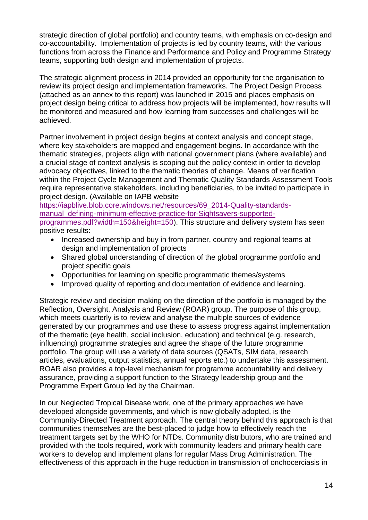strategic direction of global portfolio) and country teams, with emphasis on co-design and co-accountability. Implementation of projects is led by country teams, with the various functions from across the Finance and Performance and Policy and Programme Strategy teams, supporting both design and implementation of projects.

The strategic alignment process in 2014 provided an opportunity for the organisation to review its project design and implementation frameworks. The Project Design Process (attached as an annex to this report) was launched in 2015 and places emphasis on project design being critical to address how projects will be implemented, how results will be monitored and measured and how learning from successes and challenges will be achieved.

Partner involvement in project design begins at context analysis and concept stage, where key stakeholders are mapped and engagement begins. In accordance with the thematic strategies, projects align with national government plans (where available) and a crucial stage of context analysis is scoping out the policy context in order to develop advocacy objectives, linked to the thematic theories of change. Means of verification within the Project Cycle Management and Thematic Quality Standards Assessment Tools require representative stakeholders, including beneficiaries, to be invited to participate in project design. (Available on IAPB website

[https://iapblive.blob.core.windows.net/resources/69\\_2014-Quality-standards](https://iapblive.blob.core.windows.net/resources/69_2014-Quality-standards-manual_defining-minimum-effective-practice-for-Sightsavers-supported-programmes.pdf?width=150&height=150)[manual\\_defining-minimum-effective-practice-for-Sightsavers-supported](https://iapblive.blob.core.windows.net/resources/69_2014-Quality-standards-manual_defining-minimum-effective-practice-for-Sightsavers-supported-programmes.pdf?width=150&height=150)[programmes.pdf?width=150&height=150\)](https://iapblive.blob.core.windows.net/resources/69_2014-Quality-standards-manual_defining-minimum-effective-practice-for-Sightsavers-supported-programmes.pdf?width=150&height=150). This structure and delivery system has seen positive results:

- Increased ownership and buy in from partner, country and regional teams at design and implementation of projects
- Shared global understanding of direction of the global programme portfolio and project specific goals
- Opportunities for learning on specific programmatic themes/systems
- Improved quality of reporting and documentation of evidence and learning.

Strategic review and decision making on the direction of the portfolio is managed by the Reflection, Oversight, Analysis and Review (ROAR) group. The purpose of this group, which meets quarterly is to review and analyse the multiple sources of evidence generated by our programmes and use these to assess progress against implementation of the thematic (eye health, social inclusion, education) and technical (e.g. research, influencing) programme strategies and agree the shape of the future programme portfolio. The group will use a variety of data sources (QSATs, SIM data, research articles, evaluations, output statistics, annual reports etc.) to undertake this assessment. ROAR also provides a top-level mechanism for programme accountability and delivery assurance, providing a support function to the Strategy leadership group and the Programme Expert Group led by the Chairman.

In our Neglected Tropical Disease work, one of the primary approaches we have developed alongside governments, and which is now globally adopted, is the Community-Directed Treatment approach. The central theory behind this approach is that communities themselves are the best-placed to judge how to effectively reach the treatment targets set by the WHO for NTDs. Community distributors, who are trained and provided with the tools required, work with community leaders and primary health care workers to develop and implement plans for regular Mass Drug Administration. The effectiveness of this approach in the huge reduction in transmission of onchocerciasis in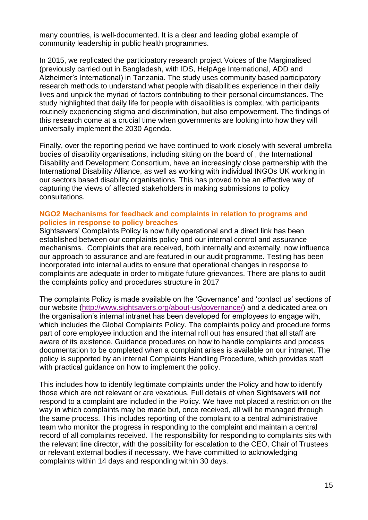many countries, is well-documented. It is a clear and leading global example of community leadership in public health programmes.

In 2015, we replicated the participatory research project Voices of the Marginalised (previously carried out in Bangladesh, with IDS, HelpAge International, ADD and Alzheimer's International) in Tanzania. The study uses community based participatory research methods to understand what people with disabilities experience in their daily lives and unpick the myriad of factors contributing to their personal circumstances. The study highlighted that daily life for people with disabilities is complex, with participants routinely experiencing stigma and discrimination, but also empowerment. The findings of this research come at a crucial time when governments are looking into how they will universally implement the 2030 Agenda.

Finally, over the reporting period we have continued to work closely with several umbrella bodies of disability organisations, including sitting on the board of , the International Disability and Development Consortium, have an increasingly close partnership with the International Disability Alliance, as well as working with individual INGOs UK working in our sectors based disability organisations. This has proved to be an effective way of capturing the views of affected stakeholders in making submissions to policy consultations.

#### **NGO2 Mechanisms for feedback and complaints in relation to programs and policies in response to policy breaches**

Sightsavers' Complaints Policy is now fully operational and a direct link has been established between our complaints policy and our internal control and assurance mechanisms. Complaints that are received, both internally and externally, now influence our approach to assurance and are featured in our audit programme. Testing has been incorporated into internal audits to ensure that operational changes in response to complaints are adequate in order to mitigate future grievances. There are plans to audit the complaints policy and procedures structure in 2017

The complaints Policy is made available on the 'Governance' and 'contact us' sections of our website [\(http://www.sightsavers.org/about-us/governance/\)](http://www.sightsavers.org/about-us/governance/) and a dedicated area on the organisation's internal intranet has been developed for employees to engage with, which includes the Global Complaints Policy. The complaints policy and procedure forms part of core employee induction and the internal roll out has ensured that all staff are aware of its existence. Guidance procedures on how to handle complaints and process documentation to be completed when a complaint arises is available on our intranet. The policy is supported by an internal Complaints Handling Procedure, which provides staff with practical guidance on how to implement the policy.

This includes how to identify legitimate complaints under the Policy and how to identify those which are not relevant or are vexatious. Full details of when Sightsavers will not respond to a complaint are included in the Policy. We have not placed a restriction on the way in which complaints may be made but, once received, all will be managed through the same process. This includes reporting of the complaint to a central administrative team who monitor the progress in responding to the complaint and maintain a central record of all complaints received. The responsibility for responding to complaints sits with the relevant line director, with the possibility for escalation to the CEO, Chair of Trustees or relevant external bodies if necessary. We have committed to acknowledging complaints within 14 days and responding within 30 days.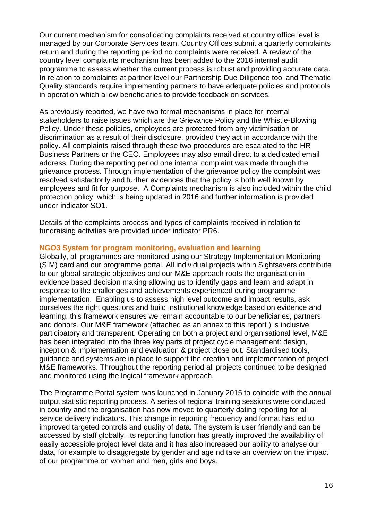Our current mechanism for consolidating complaints received at country office level is managed by our Corporate Services team. Country Offices submit a quarterly complaints return and during the reporting period no complaints were received. A review of the country level complaints mechanism has been added to the 2016 internal audit programme to assess whether the current process is robust and providing accurate data. In relation to complaints at partner level our Partnership Due Diligence tool and Thematic Quality standards require implementing partners to have adequate policies and protocols in operation which allow beneficiaries to provide feedback on services.

As previously reported, we have two formal mechanisms in place for internal stakeholders to raise issues which are the Grievance Policy and the Whistle-Blowing Policy. Under these policies, employees are protected from any victimisation or discrimination as a result of their disclosure, provided they act in accordance with the policy. All complaints raised through these two procedures are escalated to the HR Business Partners or the CEO. Employees may also email direct to a dedicated email address. During the reporting period one internal complaint was made through the grievance process. Through implementation of the grievance policy the complaint was resolved satisfactorily and further evidences that the policy is both well known by employees and fit for purpose. A Complaints mechanism is also included within the child protection policy, which is being updated in 2016 and further information is provided under indicator SO1.

Details of the complaints process and types of complaints received in relation to fundraising activities are provided under indicator PR6.

# **NGO3 System for program monitoring, evaluation and learning**

Globally, all programmes are monitored using our Strategy Implementation Monitoring (SIM) card and our programme portal. All individual projects within Sightsavers contribute to our global strategic objectives and our M&E approach roots the organisation in evidence based decision making allowing us to identify gaps and learn and adapt in response to the challenges and achievements experienced during programme implementation. Enabling us to assess high level outcome and impact results, ask ourselves the right questions and build institutional knowledge based on evidence and learning, this framework ensures we remain accountable to our beneficiaries, partners and donors. Our M&E framework (attached as an annex to this report ) is inclusive, participatory and transparent. Operating on both a project and organisational level, M&E has been integrated into the three key parts of project cycle management: design, inception & implementation and evaluation & project close out. Standardised tools, guidance and systems are in place to support the creation and implementation of project M&E frameworks. Throughout the reporting period all projects continued to be designed and monitored using the logical framework approach.

The Programme Portal system was launched in January 2015 to coincide with the annual output statistic reporting process. A series of regional training sessions were conducted in country and the organisation has now moved to quarterly dating reporting for all service delivery indicators. This change in reporting frequency and format has led to improved targeted controls and quality of data. The system is user friendly and can be accessed by staff globally. Its reporting function has greatly improved the availability of easily accessible project level data and it has also increased our ability to analyse our data, for example to disaggregate by gender and age nd take an overview on the impact of our programme on women and men, girls and boys.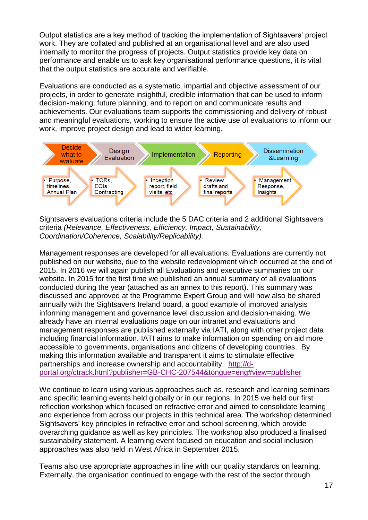Output statistics are a key method of tracking the implementation of Sightsavers' project work. They are collated and published at an organisational level and are also used internally to monitor the progress of projects. Output statistics provide key data on performance and enable us to ask key organisational performance questions, it is vital that the output statistics are accurate and verifiable.

Evaluations are conducted as a systematic, impartial and objective assessment of our projects, in order to generate insightful, credible information that can be used to inform decision-making, future planning, and to report on and communicate results and achievements. Our evaluations team supports the commissioning and delivery of robust and meaningful evaluations, working to ensure the active use of evaluations to inform our work, improve project design and lead to wider learning.



Sightsavers evaluations criteria include the 5 DAC criteria and 2 additional Sightsavers criteria *(Relevance, Effectiveness, Efficiency, Impact, Sustainability, Coordination/Coherence, Scalability/Replicability).*

Management responses are developed for all evaluations. Evaluations are currently not published on our website, due to the website redevelopment which occurred at the end of 2015. In 2016 we will again publish all Evaluations and executive summaries on our website. In 2015 for the first time we published an annual summary of all evaluations conducted during the year (attached as an annex to this report). This summary was discussed and approved at the Programme Expert Group and will now also be shared annually with the Sightsavers Ireland board, a good example of improved analysis informing management and governance level discussion and decision-making. We already have an internal evaluations page on our intranet and evaluations and management responses are published externally via IATI, along with other project data including financial information. IATI aims to make information on spending on aid more accessible to governments, organisations and citizens of developing countries. By making this information available and transparent it aims to stimulate effective partnerships and increase ownership and accountability. [http://d](http://d-portal.org/ctrack.html?publisher=GB-CHC-207544&tongue=eng#view=publisher)[portal.org/ctrack.html?publisher=GB-CHC-207544&tongue=eng#view=publisher](http://d-portal.org/ctrack.html?publisher=GB-CHC-207544&tongue=eng#view=publisher)

We continue to learn using various approaches such as, research and learning seminars and specific learning events held globally or in our regions. In 2015 we held our first reflection workshop which focused on refractive error and aimed to consolidate learning and experience from across our projects in this technical area. The workshop determined Sightsavers' key principles in refractive error and school screening, which provide overarching guidance as well as key principles. The workshop also produced a finalised sustainability statement. A learning event focused on education and social inclusion approaches was also held in West Africa in September 2015.

Teams also use appropriate approaches in line with our quality standards on learning. Externally, the organisation continued to engage with the rest of the sector through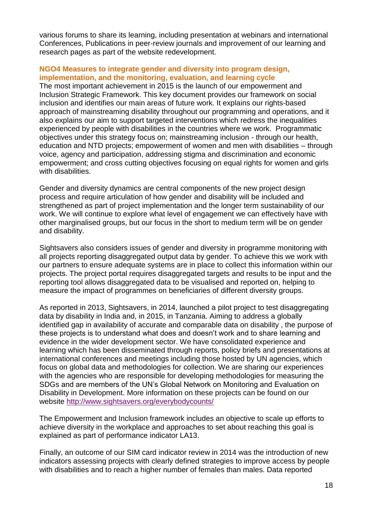various forums to share its learning, including presentation at webinars and international Conferences, Publications in peer-review journals and improvement of our learning and research pages as part of the website redevelopment.

## **NGO4 Measures to integrate gender and diversity into program design, implementation, and the monitoring, evaluation, and learning cycle**

The most important achievement in 2015 is the launch of our empowerment and Inclusion Strategic Framework. This key document provides our framework on social inclusion and identifies our main areas of future work. It explains our rights-based approach of mainstreaming disability throughout our programming and operations, and it also explains our aim to support targeted interventions which redress the inequalities experienced by people with disabilities in the countries where we work. Programmatic objectives under this strategy focus on; mainstreaming inclusion - through our health, education and NTD projects; empowerment of women and men with disabilities – through voice, agency and participation, addressing stigma and discrimination and economic empowerment; and cross cutting objectives focusing on equal rights for women and girls with disabilities.

Gender and diversity dynamics are central components of the new project design process and require articulation of how gender and disability will be included and strengthened as part of project implementation and the longer term sustainability of our work. We will continue to explore what level of engagement we can effectively have with other marginalised groups, but our focus in the short to medium term will be on gender and disability.

Sightsavers also considers issues of gender and diversity in programme monitoring with all projects reporting disaggregated output data by gender. To achieve this we work with our partners to ensure adequate systems are in place to collect this information within our projects. The project portal requires disaggregated targets and results to be input and the reporting tool allows disaggregated data to be visualised and reported on, helping to measure the impact of programmes on beneficiaries of different diversity groups.

As reported in 2013, Sightsavers, in 2014, launched a pilot project to test disaggregating data by disability in India and, in 2015, in Tanzania. Aiming to address a globally identified gap in availability of accurate and comparable data on disability , the purpose of these projects is to understand what does and doesn't work and to share learning and evidence in the wider development sector. We have consolidated experience and learning which has been disseminated through reports, policy briefs and presentations at international conferences and meetings including those hosted by UN agencies, which focus on global data and methodologies for collection. We are sharing our experiences with the agencies who are responsible for developing methodologies for measuring the SDGs and are members of the UN's Global Network on Monitoring and Evaluation on Disability in Development. More information on these projects can be found on our website<http://www.sightsavers.org/everybodycounts/>

The Empowerment and Inclusion framework includes an objective to scale up efforts to achieve diversity in the workplace and approaches to set about reaching this goal is explained as part of performance indicator LA13.

Finally, an outcome of our SIM card indicator review in 2014 was the introduction of new indicators assessing projects with clearly defined strategies to improve access by people with disabilities and to reach a higher number of females than males. Data reported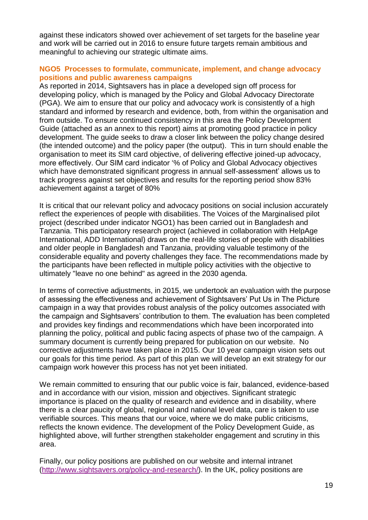against these indicators showed over achievement of set targets for the baseline year and work will be carried out in 2016 to ensure future targets remain ambitious and meaningful to achieving our strategic ultimate aims.

## **NGO5 Processes to formulate, communicate, implement, and change advocacy positions and public awareness campaigns**

As reported in 2014, Sightsavers has in place a developed sign off process for developing policy, which is managed by the Policy and Global Advocacy Directorate (PGA). We aim to ensure that our policy and advocacy work is consistently of a high standard and informed by research and evidence, both, from within the organisation and from outside. To ensure continued consistency in this area the Policy Development Guide (attached as an annex to this report) aims at promoting good practice in policy development. The guide seeks to draw a closer link between the policy change desired (the intended outcome) and the policy paper (the output). This in turn should enable the organisation to meet its SIM card objective, of delivering effective joined-up advocacy, more effectively. Our SIM card indicator '% of Policy and Global Advocacy objectives which have demonstrated significant progress in annual self-assessment' allows us to track progress against set objectives and results for the reporting period show 83% achievement against a target of 80%

It is critical that our relevant policy and advocacy positions on social inclusion accurately reflect the experiences of people with disabilities. The Voices of the Marginalised pilot project (described under indicator NGO1) has been carried out in Bangladesh and Tanzania. This participatory research project (achieved in collaboration with HelpAge International, ADD International) draws on the real-life stories of people with disabilities and older people in Bangladesh and Tanzania, providing valuable testimony of the considerable equality and poverty challenges they face. The recommendations made by the participants have been reflected in multiple policy activities with the objective to ultimately "leave no one behind" as agreed in the 2030 agenda.

In terms of corrective adjustments, in 2015, we undertook an evaluation with the purpose of assessing the effectiveness and achievement of Sightsavers' Put Us in The Picture campaign in a way that provides robust analysis of the policy outcomes associated with the campaign and Sightsavers' contribution to them. The evaluation has been completed and provides key findings and recommendations which have been incorporated into planning the policy, political and public facing aspects of phase two of the campaign. A summary document is currently being prepared for publication on our website. No corrective adjustments have taken place in 2015. Our 10 year campaign vision sets out our goals for this time period. As part of this plan we will develop an exit strategy for our campaign work however this process has not yet been initiated.

We remain committed to ensuring that our public voice is fair, balanced, evidence-based and in accordance with our vision, mission and objectives. Significant strategic importance is placed on the quality of research and evidence and in disability, where there is a clear paucity of global, regional and national level data, care is taken to use verifiable sources. This means that our voice, where we do make public criticisms, reflects the known evidence. The development of the Policy Development Guide, as highlighted above, will further strengthen stakeholder engagement and scrutiny in this area.

Finally, our policy positions are published on our website and internal intranet [\(http://www.sightsavers.org/policy-and-research/\)](http://www.sightsavers.org/policy-and-research/). In the UK, policy positions are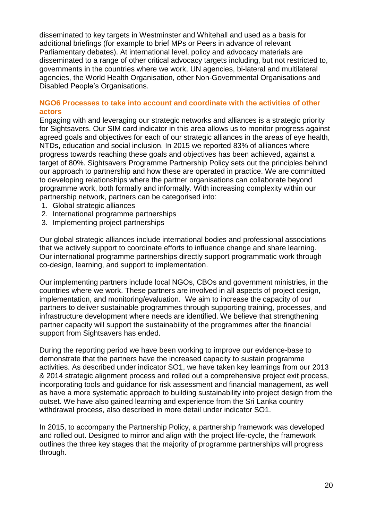disseminated to key targets in Westminster and Whitehall and used as a basis for additional briefings (for example to brief MPs or Peers in advance of relevant Parliamentary debates). At international level, policy and advocacy materials are disseminated to a range of other critical advocacy targets including, but not restricted to, governments in the countries where we work, UN agencies, bi-lateral and multilateral agencies, the World Health Organisation, other Non-Governmental Organisations and Disabled People's Organisations.

#### **NGO6 Processes to take into account and coordinate with the activities of other actors**

Engaging with and leveraging our strategic networks and alliances is a strategic priority for Sightsavers. Our SIM card indicator in this area allows us to monitor progress against agreed goals and objectives for each of our strategic alliances in the areas of eye health, NTDs, education and social inclusion. In 2015 we reported 83% of alliances where progress towards reaching these goals and objectives has been achieved, against a target of 80%. Sightsavers Programme Partnership Policy sets out the principles behind our approach to partnership and how these are operated in practice. We are committed to developing relationships where the partner organisations can collaborate beyond programme work, both formally and informally. With increasing complexity within our partnership network, partners can be categorised into:

- 1. Global strategic alliances
- 2. International programme partnerships
- 3. Implementing project partnerships

Our global strategic alliances include international bodies and professional associations that we actively support to coordinate efforts to influence change and share learning. Our international programme partnerships directly support programmatic work through co-design, learning, and support to implementation.

Our implementing partners include local NGOs, CBOs and government ministries, in the countries where we work. These partners are involved in all aspects of project design, implementation, and monitoring/evaluation. We aim to increase the capacity of our partners to deliver sustainable programmes through supporting training, processes, and infrastructure development where needs are identified. We believe that strengthening partner capacity will support the sustainability of the programmes after the financial support from Sightsavers has ended.

During the reporting period we have been working to improve our evidence-base to demonstrate that the partners have the increased capacity to sustain programme activities. As described under indicator SO1, we have taken key learnings from our 2013 & 2014 strategic alignment process and rolled out a comprehensive project exit process, incorporating tools and guidance for risk assessment and financial management, as well as have a more systematic approach to building sustainability into project design from the outset. We have also gained learning and experience from the Sri Lanka country withdrawal process, also described in more detail under indicator SO1.

In 2015, to accompany the Partnership Policy, a partnership framework was developed and rolled out. Designed to mirror and align with the project life-cycle, the framework outlines the three key stages that the majority of programme partnerships will progress through.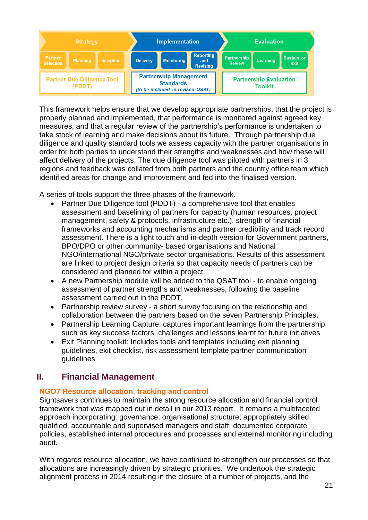

This framework helps ensure that we develop appropriate partnerships, that the project is properly planned and implemented, that performance is monitored against agreed key measures, and that a regular review of the partnership's performance is undertaken to take stock of learning and make decisions about its future. Through partnership due diligence and quality standard tools we assess capacity with the partner organisations in order for both parties to understand their strengths and weaknesses and how these will affect delivery of the projects. The due diligence tool was piloted with partners in 3 regions and feedback was collated from both partners and the country office team which identified areas for change and improvement and fed into the finalised version.

A series of tools support the three phases of the framework.

- Partner Due Diligence tool (PDDT) a comprehensive tool that enables assessment and baselining of partners for capacity (human resources, project management, safety & protocols, infrastructure etc.), strength of financial frameworks and accounting mechanisms and partner credibility and track record assessment. There is a light touch and in-depth version for Government partners, BPO/DPO or other community- based organisations and National NGO/international NGO/private sector organisations. Results of this assessment are linked to project design criteria so that capacity needs of partners can be considered and planned for within a project.
- A new Partnership module will be added to the QSAT tool to enable ongoing assessment of partner strengths and weaknesses, following the baseline assessment carried out in the PDDT.
- Partnership review survey a short survey focusing on the relationship and collaboration between the partners based on the seven Partnership Principles.
- Partnership Learning Capture: captures important learnings from the partnership such as key success factors, challenges and lessons learnt for future initiatives
- Exit Planning toolkit: Includes tools and templates including exit planning guidelines, exit checklist, risk assessment template partner communication guidelines

# **II. Financial Management**

# **NGO7 Resource allocation, tracking and control**

Sightsavers continues to maintain the strong resource allocation and financial control framework that was mapped out in detail in our 2013 report. It remains a multifaceted approach incorporating: governance; organisational structure; appropriately skilled, qualified, accountable and supervised managers and staff; documented corporate policies, established internal procedures and processes and external monitoring including audit.

With regards resource allocation, we have continued to strengthen our processes so that allocations are increasingly driven by strategic priorities. We undertook the strategic alignment process in 2014 resulting in the closure of a number of projects, and the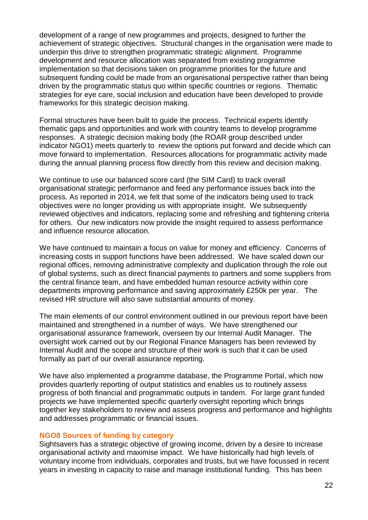development of a range of new programmes and projects, designed to further the achievement of strategic objectives. Structural changes in the organisation were made to underpin this drive to strengthen programmatic strategic alignment. Programme development and resource allocation was separated from existing programme implementation so that decisions taken on programme priorities for the future and subsequent funding could be made from an organisational perspective rather than being driven by the programmatic status quo within specific countries or regions. Thematic strategies for eye care, social inclusion and education have been developed to provide frameworks for this strategic decision making.

Formal structures have been built to guide the process. Technical experts identify thematic gaps and opportunities and work with country teams to develop programme responses. A strategic decision making body (the ROAR group described under indicator NGO1) meets quarterly to review the options put forward and decide which can move forward to implementation. Resources allocations for programmatic activity made during the annual planning process flow directly from this review and decision making.

We continue to use our balanced score card (the SIM Card) to track overall organisational strategic performance and feed any performance issues back into the process. As reported in 2014, we felt that some of the indicators being used to track objectives were no longer providing us with appropriate insight. We subsequently reviewed objectives and indicators, replacing some and refreshing and tightening criteria for others. Our new indicators now provide the insight required to assess performance and influence resource allocation.

We have continued to maintain a focus on value for money and efficiency. Concerns of increasing costs in support functions have been addressed. We have scaled down our regional offices, removing administrative complexity and duplication through the role out of global systems, such as direct financial payments to partners and some suppliers from the central finance team, and have embedded human resource activity within core departments improving performance and saving approximately £250k per year. The revised HR structure will also save substantial amounts of money.

The main elements of our control environment outlined in our previous report have been maintained and strengthened in a number of ways. We have strengthened our organisational assurance framework, overseen by our Internal Audit Manager. The oversight work carried out by our Regional Finance Managers has been reviewed by Internal Audit and the scope and structure of their work is such that it can be used formally as part of our overall assurance reporting.

We have also implemented a programme database, the Programme Portal, which now provides quarterly reporting of output statistics and enables us to routinely assess progress of both financial and programmatic outputs in tandem. For large grant funded projects we have implemented specific quarterly oversight reporting which brings together key stakeholders to review and assess progress and performance and highlights and addresses programmatic or financial issues.

#### **NGO8 Sources of funding by category**

Sightsavers has a strategic objective of growing income, driven by a desire to increase organisational activity and maximise impact. We have historically had high levels of voluntary income from individuals, corporates and trusts, but we have focussed in recent years in investing in capacity to raise and manage institutional funding. This has been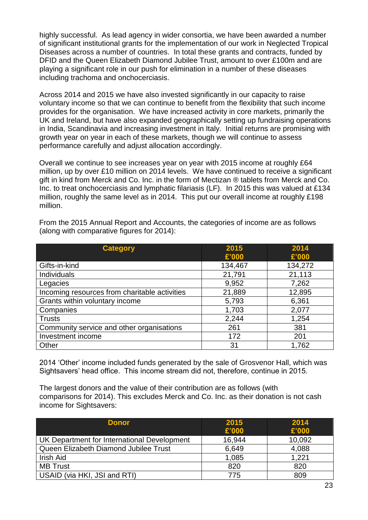highly successful. As lead agency in wider consortia, we have been awarded a number of significant institutional grants for the implementation of our work in Neglected Tropical Diseases across a number of countries. In total these grants and contracts, funded by DFID and the Queen Elizabeth Diamond Jubilee Trust, amount to over £100m and are playing a significant role in our push for elimination in a number of these diseases including trachoma and onchocerciasis.

Across 2014 and 2015 we have also invested significantly in our capacity to raise voluntary income so that we can continue to benefit from the flexibility that such income provides for the organisation. We have increased activity in core markets, primarily the UK and Ireland, but have also expanded geographically setting up fundraising operations in India, Scandinavia and increasing investment in Italy. Initial returns are promising with growth year on year in each of these markets, though we will continue to assess performance carefully and adjust allocation accordingly.

Overall we continue to see increases year on year with 2015 income at roughly £64 million, up by over £10 million on 2014 levels. We have continued to receive a significant gift in kind from Merck and Co. Inc. in the form of Mectizan ® tablets from Merck and Co. Inc. to treat onchocerciasis and lymphatic filariasis (LF). In 2015 this was valued at £134 million, roughly the same level as in 2014. This put our overall income at roughly £198 million.

| <b>Category</b>                               | 2015    | 2014    |
|-----------------------------------------------|---------|---------|
|                                               | £'000   | £'000   |
| Gifts-in-kind                                 | 134,467 | 134,272 |
| <b>Individuals</b>                            | 21,791  | 21,113  |
| Legacies                                      | 9,952   | 7,262   |
| Incoming resources from charitable activities | 21,889  | 12,895  |
| Grants within voluntary income                | 5,793   | 6,361   |
| Companies                                     | 1,703   | 2,077   |
| <b>Trusts</b>                                 | 2,244   | 1,254   |
| Community service and other organisations     | 261     | 381     |
| Investment income                             | 172     | 201     |
| Other                                         | 31      | 1,762   |

From the 2015 Annual Report and Accounts, the categories of income are as follows (along with comparative figures for 2014):

2014 'Other' income included funds generated by the sale of Grosvenor Hall, which was Sightsavers' head office. This income stream did not, therefore, continue in 2015.

The largest donors and the value of their contribution are as follows (with comparisons for 2014). This excludes Merck and Co. Inc. as their donation is not cash income for Sightsavers:

| <b>Donor</b>                                | 2015<br>£'000 | 2014<br>£'000 |
|---------------------------------------------|---------------|---------------|
| UK Department for International Development | 16,944        | 10,092        |
| Queen Elizabeth Diamond Jubilee Trust       | 6,649         | 4,088         |
| Irish Aid                                   | 1,085         | 1,221         |
| <b>MB Trust</b>                             | 820           | 820           |
| USAID (via HKI, JSI and RTI)                | 775           | 809           |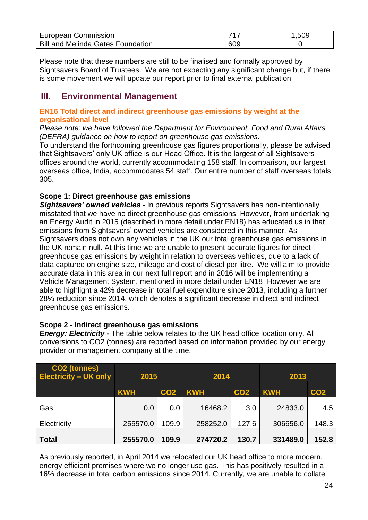| European Commission                      |     | .509 |
|------------------------------------------|-----|------|
| <b>Bill and Melinda Gates Foundation</b> | 609 |      |

Please note that these numbers are still to be finalised and formally approved by Sightsavers Board of Trustees. We are not expecting any significant change but, if there is some movement we will update our report prior to final external publication

# **III. Environmental Management**

# **EN16 Total direct and indirect greenhouse gas emissions by weight at the organisational level**

*Please note: we have followed the Department for Environment, Food and Rural Affairs (DEFRA) guidance on how to report on greenhouse gas emissions.*

To understand the forthcoming greenhouse gas figures proportionally, please be advised that Sightsavers' only UK office is our Head Office. It is the largest of all Sightsavers offices around the world, currently accommodating 158 staff. In comparison, our largest overseas office, India, accommodates 54 staff. Our entire number of staff overseas totals 305.

# **Scope 1: Direct greenhouse gas emissions**

*Sightsavers' owned vehicles -* In previous reports Sightsavers has non-intentionally misstated that we have no direct greenhouse gas emissions. However, from undertaking an Energy Audit in 2015 (described in more detail under EN18) has educated us in that emissions from Sightsavers' owned vehicles are considered in this manner. As Sightsavers does not own any vehicles in the UK our total greenhouse gas emissions in the UK remain null. At this time we are unable to present accurate figures for direct greenhouse gas emissions by weight in relation to overseas vehicles, due to a lack of data captured on engine size, mileage and cost of diesel per litre. We will aim to provide accurate data in this area in our next full report and in 2016 will be implementing a Vehicle Management System, mentioned in more detail under EN18. However we are able to highlight a 42% decrease in total fuel expenditure since 2013, including a further 28% reduction since 2014, which denotes a significant decrease in direct and indirect greenhouse gas emissions.

# **Scope 2 - Indirect greenhouse gas emissions**

*Energy: Electricity* - The table below relates to the UK head office location only. All conversions to CO2 (tonnes) are reported based on information provided by our energy provider or management company at the time.

| CO <sub>2</sub> (tonnes)<br><b>Electricity - UK only</b> | 2015                          |       | 2014       |                 | 2013       |                 |
|----------------------------------------------------------|-------------------------------|-------|------------|-----------------|------------|-----------------|
|                                                          | <b>KWH</b><br>CO <sub>2</sub> |       | <b>KWH</b> | CO <sub>2</sub> | <b>KWH</b> | CO <sub>2</sub> |
| Gas                                                      | 0.0                           | 0.0   | 16468.2    | 3.0             | 24833.0    | 4.5             |
| Electricity                                              | 255570.0                      | 109.9 | 258252.0   | 127.6           | 306656.0   | 148.3           |
| <b>Total</b>                                             | 255570.0                      | 109.9 | 274720.2   | 130.7           | 331489.0   | 152.8           |

As previously reported, in April 2014 we relocated our UK head office to more modern, energy efficient premises where we no longer use gas. This has positively resulted in a 16% decrease in total carbon emissions since 2014. Currently, we are unable to collate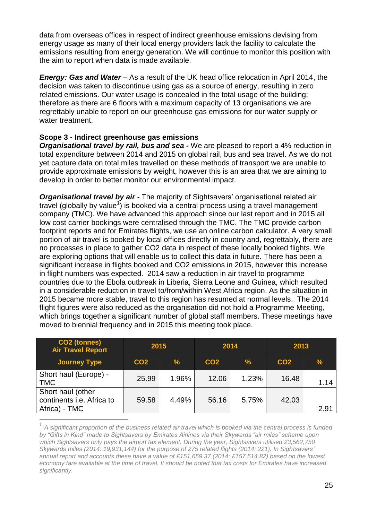data from overseas offices in respect of indirect greenhouse emissions devising from energy usage as many of their local energy providers lack the facility to calculate the emissions resulting from energy generation. We will continue to monitor this position with the aim to report when data is made available.

*Energy: Gas and Water* – As a result of the UK head office relocation in April 2014, the decision was taken to discontinue using gas as a source of energy, resulting in zero related emissions. Our water usage is concealed in the total usage of the building; therefore as there are 6 floors with a maximum capacity of 13 organisations we are regrettably unable to report on our greenhouse gas emissions for our water supply or water treatment.

# **Scope 3 - Indirect greenhouse gas emissions**

*Organisational travel by rail, bus and sea - We are pleased to report a 4% reduction in* total expenditure between 2014 and 2015 on global rail, bus and sea travel. As we do not yet capture data on total miles travelled on these methods of transport we are unable to provide approximate emissions by weight, however this is an area that we are aiming to develop in order to better monitor our environmental impact.

*Organisational travel by air -* The majority of Sightsavers' organisational related air travel (globally by value<sup>1</sup>) is booked via a central process using a travel management company (TMC). We have advanced this approach since our last report and in 2015 all low cost carrier bookings were centralised through the TMC. The TMC provide carbon footprint reports and for Emirates flights, we use an online carbon calculator. A very small portion of air travel is booked by local offices directly in country and, regrettably, there are no processes in place to gather CO2 data in respect of these locally booked flights. We are exploring options that will enable us to collect this data in future. There has been a significant increase in flights booked and CO2 emissions in 2015, however this increase in flight numbers was expected. 2014 saw a reduction in air travel to programme countries due to the Ebola outbreak in Liberia, Sierra Leone and Guinea, which resulted in a considerable reduction in travel to/from/within West Africa region. As the situation in 2015 became more stable, travel to this region has resumed at normal levels. The 2014 flight figures were also reduced as the organisation did not hold a Programme Meeting, which brings together a significant number of global staff members. These meetings have moved to biennial frequency and in 2015 this meeting took place.

| <b>CO2 (tonnes)</b><br><b>Air Travel Report</b>                 | 2015            |               |                 | 2014  | 2013            |               |
|-----------------------------------------------------------------|-----------------|---------------|-----------------|-------|-----------------|---------------|
| <b>Journey Type</b>                                             | CO <sub>2</sub> | $\frac{9}{6}$ | CO <sub>2</sub> | $\%$  | CO <sub>2</sub> | $\frac{9}{6}$ |
| Short haul (Europe) -<br><b>TMC</b>                             | 25.99           | 1.96%         | 12.06           | 1.23% | 16.48           | 1.14          |
| Short haul (other<br>continents i.e. Africa to<br>Africa) - TMC | 59.58           | 4.49%         | 56.16           | 5.75% | 42.03           | 2.91          |
|                                                                 |                 |               |                 |       |                 |               |

<sup>1</sup> *A significant proportion of the business related air travel which is booked via the central process is funded by "Gifts in Kind" made to Sightsavers by Emirates Airlines via their Skywards "air miles" scheme upon which Sightsavers only pays the airport tax element. During the year, Sightsavers utilised 23,562,750 Skywards miles (2014: 19,931,144) for the purpose of 275 related flights (2014: 221). In Sightsavers' annual report and accounts these have a value of £151,659.37 (2014: £157,514.82) based on the lowest economy fare available at the time of travel. It should be noted that tax costs for Emirates have increased significantly.*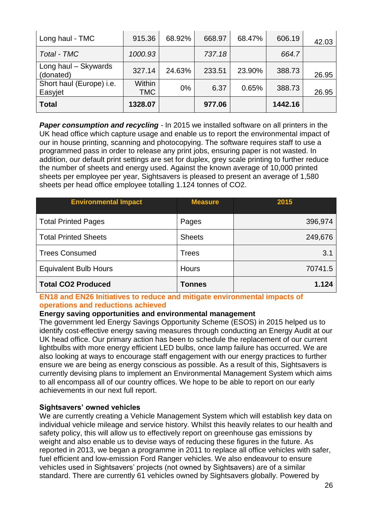| Long haul - TMC                     | 915.36               | 68.92% | 668.97 | 68.47% | 606.19  | 42.03 |
|-------------------------------------|----------------------|--------|--------|--------|---------|-------|
| Total - TMC                         | 1000.93              |        | 737.18 |        | 664.7   |       |
| Long haul - Skywards<br>(donated)   | 327.14               | 24.63% | 233.51 | 23.90% | 388.73  | 26.95 |
| Short haul (Europe) i.e.<br>Easyjet | Within<br><b>TMC</b> | $0\%$  | 6.37   | 0.65%  | 388.73  | 26.95 |
| <b>Total</b>                        | 1328.07              |        | 977.06 |        | 1442.16 |       |

**Paper consumption and recycling** - In 2015 we installed software on all printers in the UK head office which capture usage and enable us to report the environmental impact of our in house printing, scanning and photocopying. The software requires staff to use a programmed pass in order to release any print jobs, ensuring paper is not wasted. In addition, our default print settings are set for duplex, grey scale printing to further reduce the number of sheets and energy used. Against the known average of 10,000 printed sheets per employee per year, Sightsavers is pleased to present an average of 1,580 sheets per head office employee totalling 1.124 tonnes of CO2.

| <b>Environmental Impact</b>  | <b>Measure</b> | 2015    |
|------------------------------|----------------|---------|
| <b>Total Printed Pages</b>   | Pages          | 396,974 |
| <b>Total Printed Sheets</b>  | <b>Sheets</b>  | 249,676 |
| <b>Trees Consumed</b>        | <b>Trees</b>   | 3.1     |
| <b>Equivalent Bulb Hours</b> | <b>Hours</b>   | 70741.5 |
| <b>Total CO2 Produced</b>    | Tonnes         | 1.124   |

# **EN18 and EN26 Initiatives to reduce and mitigate environmental impacts of operations and reductions achieved**

#### **Energy saving opportunities and environmental management**

The government led Energy Savings Opportunity Scheme (ESOS) in 2015 helped us to identify cost-effective energy saving measures through conducting an Energy Audit at our UK head office. Our primary action has been to schedule the replacement of our current lightbulbs with more energy efficient LED bulbs, once lamp failure has occurred. We are also looking at ways to encourage staff engagement with our energy practices to further ensure we are being as energy conscious as possible. As a result of this, Sightsavers is currently devising plans to implement an Environmental Management System which aims to all encompass all of our country offices. We hope to be able to report on our early achievements in our next full report.

#### **Sightsavers' owned vehicles**

We are currently creating a Vehicle Management System which will establish key data on individual vehicle mileage and service history. Whilst this heavily relates to our health and safety policy, this will allow us to effectively report on greenhouse gas emissions by weight and also enable us to devise ways of reducing these figures in the future. As reported in 2013, we began a programme in 2011 to replace all office vehicles with safer, fuel efficient and low-emission Ford Ranger vehicles. We also endeavour to ensure vehicles used in Sightsavers' projects (not owned by Sightsavers) are of a similar standard. There are currently 61 vehicles owned by Sightsavers globally. Powered by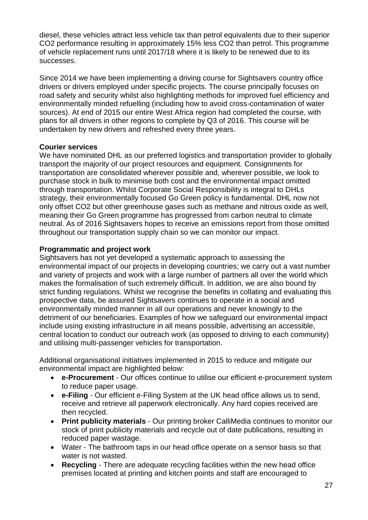diesel, these vehicles attract less vehicle tax than petrol equivalents due to their superior CO2 performance resulting in approximately 15% less CO2 than petrol. This programme of vehicle replacement runs until 2017/18 where it is likely to be renewed due to its successes.

Since 2014 we have been implementing a driving course for Sightsavers country office drivers or drivers employed under specific projects. The course principally focuses on road safety and security whilst also highlighting methods for improved fuel efficiency and environmentally minded refuelling (including how to avoid cross-contamination of water sources). At end of 2015 our entire West Africa region had completed the course, with plans for all drivers in other regions to complete by Q3 of 2016. This course will be undertaken by new drivers and refreshed every three years.

# **Courier services**

We have nominated DHL as our preferred logistics and transportation provider to globally transport the majority of our project resources and equipment. Consignments for transportation are consolidated wherever possible and, wherever possible, we look to purchase stock in bulk to minimise both cost and the environmental impact omitted through transportation. Whilst Corporate Social Responsibility is integral to DHLs strategy, their environmentally focused Go Green policy is fundamental. DHL now not only offset CO2 but other greenhouse gases such as methane and nitrous oxide as well, meaning their Go Green programme has progressed from carbon neutral to climate neutral. As of 2016 Sightsavers hopes to receive an emissions report from those omitted throughout our transportation supply chain so we can monitor our impact.

# **Programmatic and project work**

Sightsavers has not yet developed a systematic approach to assessing the environmental impact of our projects in developing countries; we carry out a vast number and variety of projects and work with a large number of partners all over the world which makes the formalisation of such extremely difficult. In addition, we are also bound by strict funding regulations. Whilst we recognise the benefits in collating and evaluating this prospective data, be assured Sightsavers continues to operate in a social and environmentally minded manner in all our operations and never knowingly to the detriment of our beneficiaries. Examples of how we safeguard our environmental impact include using existing infrastructure in all means possible, advertising an accessible, central location to conduct our outreach work (as opposed to driving to each community) and utilising multi-passenger vehicles for transportation.

Additional organisational initiatives implemented in 2015 to reduce and mitigate our environmental impact are highlighted below:

- **e-Procurement** Our offices continue to utilise our efficient e-procurement system to reduce paper usage.
- **e-Filing** Our efficient e-Filing System at the UK head office allows us to send, receive and retrieve all paperwork electronically. Any hard copies received are then recycled.
- **Print publicity materials** Our printing broker CalliMedia continues to monitor our stock of print publicity materials and recycle out of date publications, resulting in reduced paper wastage.
- Water The bathroom taps in our head office operate on a sensor basis so that water is not wasted.
- **Recycling** There are adequate recycling facilities within the new head office premises located at printing and kitchen points and staff are encouraged to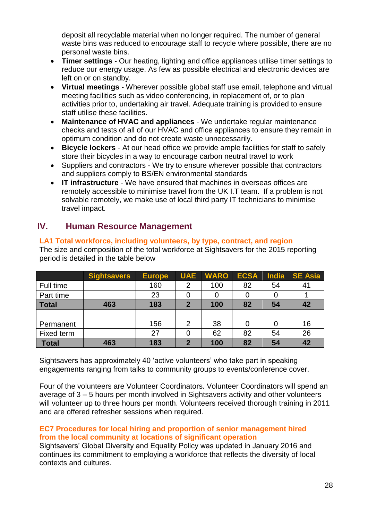deposit all recyclable material when no longer required. The number of general waste bins was reduced to encourage staff to recycle where possible, there are no personal waste bins.

- **Timer settings** Our heating, lighting and office appliances utilise timer settings to reduce our energy usage. As few as possible electrical and electronic devices are left on or on standby.
- **Virtual meetings** Wherever possible global staff use email, telephone and virtual meeting facilities such as video conferencing, in replacement of, or to plan activities prior to, undertaking air travel. Adequate training is provided to ensure staff utilise these facilities.
- **Maintenance of HVAC and appliances** We undertake regular maintenance checks and tests of all of our HVAC and office appliances to ensure they remain in optimum condition and do not create waste unnecessarily.
- **Bicycle lockers** At our head office we provide ample facilities for staff to safely store their bicycles in a way to encourage carbon neutral travel to work
- Suppliers and contractors We try to ensure wherever possible that contractors and suppliers comply to BS/EN environmental standards
- **IT infrastructure** We have ensured that machines in overseas offices are remotely accessible to minimise travel from the UK I.T team. If a problem is not solvable remotely, we make use of local third party IT technicians to minimise travel impact.

# **IV. Human Resource Management**

# **Sightsavers Europe UAE WARO ECSA India SE Asia** Full time 160 2 100 82 54 41 Part time | 23 | 0 | 0 | 0 | 0 | 1 **Total 463 183 2 100 82 54 42** Permanent | 156 | 2 | 38 | 0 | 0 | 16 Fixed term | 27 0 62 82 54 26 **Total 463 183 2 100 82 54 42**

**LA1 Total workforce, including volunteers, by type, contract, and region**  The size and composition of the total workforce at Sightsavers for the 2015 reporting period is detailed in the table below

Sightsavers has approximately 40 'active volunteers' who take part in speaking engagements ranging from talks to community groups to events/conference cover.

Four of the volunteers are Volunteer Coordinators. Volunteer Coordinators will spend an average of 3 – 5 hours per month involved in Sightsavers activity and other volunteers will volunteer up to three hours per month. Volunteers received thorough training in 2011 and are offered refresher sessions when required.

# **EC7 Procedures for local hiring and proportion of senior management hired from the local community at locations of significant operation**

Sightsavers' Global Diversity and Equality Policy was updated in January 2016 and continues its commitment to employing a workforce that reflects the diversity of local contexts and cultures.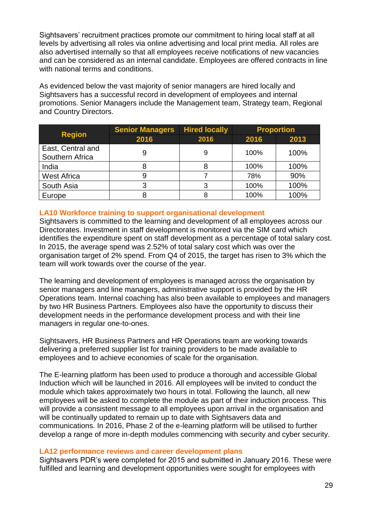Sightsavers' recruitment practices promote our commitment to hiring local staff at all levels by advertising all roles via online advertising and local print media. All roles are also advertised internally so that all employees receive notifications of new vacancies and can be considered as an internal candidate. Employees are offered contracts in line with national terms and conditions.

As evidenced below the vast majority of senior managers are hired locally and Sightsavers has a successful record in development of employees and internal promotions. Senior Managers include the Management team, Strategy team, Regional and Country Directors.

|                                      | <b>Senior Managers</b> | <b>Hired locally</b> |      | <b>Proportion</b> |  |
|--------------------------------------|------------------------|----------------------|------|-------------------|--|
| <b>Region</b>                        | 2016                   | 2016                 | 2016 | 2013              |  |
| East, Central and<br>Southern Africa | 9                      | 9                    | 100% | 100%              |  |
| India                                |                        |                      | 100% | 100%              |  |
| <b>West Africa</b>                   |                        |                      | 78%  | 90%               |  |
| South Asia                           |                        |                      | 100% | 100%              |  |
| Europe                               |                        |                      | 100% | 100%              |  |

# **LA10 Workforce training to support organisational development**

Sightsavers is committed to the learning and development of all employees across our Directorates. Investment in staff development is monitored via the SIM card which identifies the expenditure spent on staff development as a percentage of total salary cost. In 2015, the average spend was 2.52% of total salary cost which was over the organisation target of 2% spend. From Q4 of 2015, the target has risen to 3% which the team will work towards over the course of the year.

The learning and development of employees is managed across the organisation by senior managers and line managers, administrative support is provided by the HR Operations team. Internal coaching has also been available to employees and managers by two HR Business Partners. Employees also have the opportunity to discuss their development needs in the performance development process and with their line managers in regular one-to-ones.

Sightsavers, HR Business Partners and HR Operations team are working towards delivering a preferred supplier list for training providers to be made available to employees and to achieve economies of scale for the organisation.

The E-learning platform has been used to produce a thorough and accessible Global Induction which will be launched in 2016. All employees will be invited to conduct the module which takes approximately two hours in total. Following the launch, all new employees will be asked to complete the module as part of their induction process. This will provide a consistent message to all employees upon arrival in the organisation and will be continually updated to remain up to date with Sightsavers data and communications. In 2016, Phase 2 of the e-learning platform will be utilised to further develop a range of more in-depth modules commencing with security and cyber security.

#### **LA12 performance reviews and career development plans**

Sightsavers PDR's were completed for 2015 and submitted in January 2016. These were fulfilled and learning and development opportunities were sought for employees with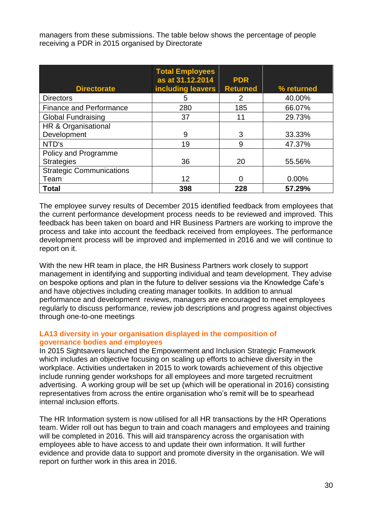managers from these submissions. The table below shows the percentage of people receiving a PDR in 2015 organised by Directorate

|                                 | <b>Total Employees</b><br>as at 31.12.2014 | <b>PDR</b>      |            |
|---------------------------------|--------------------------------------------|-----------------|------------|
| <b>Directorate</b>              | including leavers                          | <b>Returned</b> | % returned |
| <b>Directors</b>                | 5                                          | 2               | 40.00%     |
| <b>Finance and Performance</b>  | 280                                        | 185             | 66.07%     |
| <b>Global Fundraising</b>       | 37                                         | 11              | 29.73%     |
| HR & Organisational             |                                            |                 |            |
| Development                     | 9                                          | 3               | 33.33%     |
| NTD's                           | 19                                         | 9               | 47.37%     |
| Policy and Programme            |                                            |                 |            |
| <b>Strategies</b>               | 36                                         | 20              | 55.56%     |
| <b>Strategic Communications</b> |                                            |                 |            |
| Team                            | 12                                         | U               | 0.00%      |
| <b>Total</b>                    | 398                                        | 228             | 57.29%     |

The employee survey results of December 2015 identified feedback from employees that the current performance development process needs to be reviewed and improved. This feedback has been taken on board and HR Business Partners are working to improve the process and take into account the feedback received from employees. The performance development process will be improved and implemented in 2016 and we will continue to report on it.

With the new HR team in place, the HR Business Partners work closely to support management in identifying and supporting individual and team development. They advise on bespoke options and plan in the future to deliver sessions via the Knowledge Cafe's and have objectives including creating manager toolkits. In addition to annual performance and development reviews, managers are encouraged to meet employees regularly to discuss performance, review job descriptions and progress against objectives through one-to-one meetings

# **LA13 diversity in your organisation displayed in the composition of governance bodies and employees**

In 2015 Sightsavers launched the Empowerment and Inclusion Strategic Framework which includes an objective focusing on scaling up efforts to achieve diversity in the workplace. Activities undertaken in 2015 to work towards achievement of this objective include running gender workshops for all employees and more targeted recruitment advertising. A working group will be set up (which will be operational in 2016) consisting representatives from across the entire organisation who's remit will be to spearhead internal inclusion efforts.

The HR Information system is now utilised for all HR transactions by the HR Operations team. Wider roll out has begun to train and coach managers and employees and training will be completed in 2016. This will aid transparency across the organisation with employees able to have access to and update their own information. It will further evidence and provide data to support and promote diversity in the organisation. We will report on further work in this area in 2016.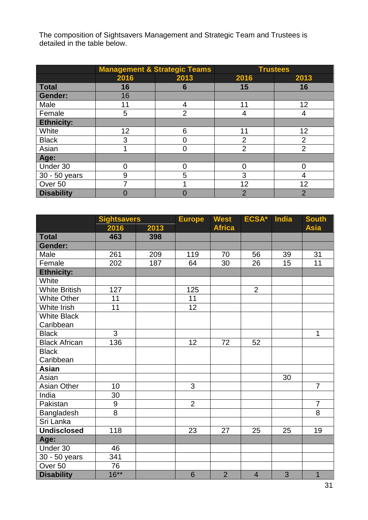The composition of Sightsavers Management and Strategic Team and Trustees is detailed in the table below.

|                    |      | <b>Management &amp; Strategic Teams</b> | <b>Trustees</b> |                |  |
|--------------------|------|-----------------------------------------|-----------------|----------------|--|
|                    | 2016 | 2013                                    | 2016            | 2013           |  |
| <b>Total</b>       | 16   | 6                                       | 15              | 16             |  |
| <b>Gender:</b>     | 16   |                                         |                 |                |  |
| Male               | 11   | 4                                       | 11              | 12             |  |
| Female             | 5    | $\overline{2}$                          | 4               |                |  |
| <b>Ethnicity:</b>  |      |                                         |                 |                |  |
| White              | 12   | 6                                       | 11              | 12             |  |
| <b>Black</b>       | 3    |                                         | $\overline{2}$  | $\overline{2}$ |  |
| Asian              |      | 0                                       | $\overline{2}$  | $\overline{2}$ |  |
| Age:               |      |                                         |                 |                |  |
| Under 30           | ი    |                                         | ∩               |                |  |
| 30 - 50 years      | 9    | 5                                       | 3               |                |  |
| Over <sub>50</sub> |      |                                         | 12              | 12             |  |
| <b>Disability</b>  |      |                                         | $\overline{2}$  | 2              |  |

|                      | <b>Sightsavers</b> |      | <b>Europe</b>   |                | ECSA*          | <b>India</b> | <b>South</b>   |
|----------------------|--------------------|------|-----------------|----------------|----------------|--------------|----------------|
|                      | 2016               | 2013 |                 | <b>Africa</b>  |                |              | <b>Asia</b>    |
| <b>Total</b>         | 463                | 398  |                 |                |                |              |                |
| <b>Gender:</b>       |                    |      |                 |                |                |              |                |
| Male                 | 261                | 209  | 119             | 70             | 56             | 39           | 31             |
| Female               | 202                | 187  | 64              | 30             | 26             | 15           | 11             |
| <b>Ethnicity:</b>    |                    |      |                 |                |                |              |                |
| White                |                    |      |                 |                |                |              |                |
| <b>White British</b> | 127                |      | 125             |                | $\overline{2}$ |              |                |
| <b>White Other</b>   | 11                 |      | 11              |                |                |              |                |
| White Irish          | $\overline{11}$    |      | $\overline{12}$ |                |                |              |                |
| <b>White Black</b>   |                    |      |                 |                |                |              |                |
| Caribbean            |                    |      |                 |                |                |              |                |
| <b>Black</b>         | 3                  |      |                 |                |                |              | $\mathbf{1}$   |
| <b>Black African</b> | 136                |      | 12              | 72             | 52             |              |                |
| <b>Black</b>         |                    |      |                 |                |                |              |                |
| Caribbean            |                    |      |                 |                |                |              |                |
| <b>Asian</b>         |                    |      |                 |                |                |              |                |
| Asian                |                    |      |                 |                |                | 30           |                |
| Asian Other          | 10                 |      | 3               |                |                |              | $\overline{7}$ |
| India                | 30                 |      |                 |                |                |              |                |
| Pakistan             | 9                  |      | 2               |                |                |              | $\overline{7}$ |
| Bangladesh           | 8                  |      |                 |                |                |              | 8              |
| Sri Lanka            |                    |      |                 |                |                |              |                |
| <b>Undisclosed</b>   | 118                |      | 23              | 27             | 25             | 25           | 19             |
| Age:                 |                    |      |                 |                |                |              |                |
| Under 30             | 46                 |      |                 |                |                |              |                |
| 30 - 50 years        | 341                |      |                 |                |                |              |                |
| Over <sub>50</sub>   | 76                 |      |                 |                |                |              |                |
| <b>Disability</b>    | $16***$            |      | $6\phantom{1}6$ | $\overline{2}$ | $\overline{4}$ | 3            | $\overline{1}$ |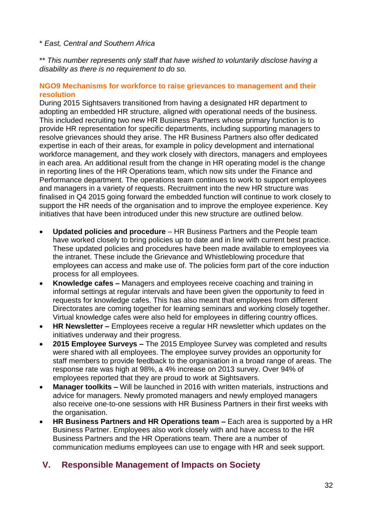# \* *East, Central and Southern Africa*

\*\* *This number represents only staff that have wished to voluntarily disclose having a disability as there is no requirement to do so.* 

#### **NGO9 Mechanisms for workforce to raise grievances to management and their resolution**

During 2015 Sightsavers transitioned from having a designated HR department to adopting an embedded HR structure, aligned with operational needs of the business. This included recruiting two new HR Business Partners whose primary function is to provide HR representation for specific departments, including supporting managers to resolve grievances should they arise. The HR Business Partners also offer dedicated expertise in each of their areas, for example in policy development and international workforce management, and they work closely with directors, managers and employees in each area. An additional result from the change in HR operating model is the change in reporting lines of the HR Operations team, which now sits under the Finance and Performance department. The operations team continues to work to support employees and managers in a variety of requests. Recruitment into the new HR structure was finalised in Q4 2015 going forward the embedded function will continue to work closely to support the HR needs of the organisation and to improve the employee experience. Key initiatives that have been introduced under this new structure are outlined below.

- **Updated policies and procedure**  HR Business Partners and the People team have worked closely to bring policies up to date and in line with current best practice. These updated policies and procedures have been made available to employees via the intranet. These include the Grievance and Whistleblowing procedure that employees can access and make use of. The policies form part of the core induction process for all employees.
- **Knowledge cafes –** Managers and employees receive coaching and training in informal settings at regular intervals and have been given the opportunity to feed in requests for knowledge cafes. This has also meant that employees from different Directorates are coming together for learning seminars and working closely together. Virtual knowledge cafes were also held for employees in differing country offices.
- **HR Newsletter –** Employees receive a regular HR newsletter which updates on the initiatives underway and their progress.
- **2015 Employee Surveys –** The 2015 Employee Survey was completed and results were shared with all employees. The employee survey provides an opportunity for staff members to provide feedback to the organisation in a broad range of areas. The response rate was high at 98%, a 4% increase on 2013 survey. Over 94% of employees reported that they are proud to work at Sightsavers.
- **Manager toolkits –** Will be launched in 2016 with written materials, instructions and advice for managers. Newly promoted managers and newly employed managers also receive one-to-one sessions with HR Business Partners in their first weeks with the organisation.
- **HR Business Partners and HR Operations team –** Each area is supported by a HR Business Partner. Employees also work closely with and have access to the HR Business Partners and the HR Operations team. There are a number of communication mediums employees can use to engage with HR and seek support.

# **V. Responsible Management of Impacts on Society**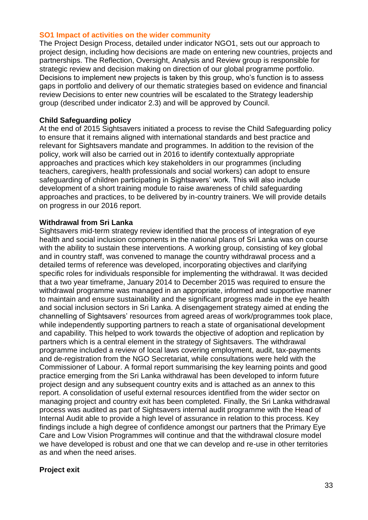#### **SO1 Impact of activities on the wider community**

The Project Design Process, detailed under indicator NGO1, sets out our approach to project design, including how decisions are made on entering new countries, projects and partnerships. The Reflection, Oversight, Analysis and Review group is responsible for strategic review and decision making on direction of our global programme portfolio. Decisions to implement new projects is taken by this group, who's function is to assess gaps in portfolio and delivery of our thematic strategies based on evidence and financial review Decisions to enter new countries will be escalated to the Strategy leadership group (described under indicator 2.3) and will be approved by Council.

#### **Child Safeguarding policy**

At the end of 2015 Sightsavers initiated a process to revise the Child Safeguarding policy to ensure that it remains aligned with international standards and best practice and relevant for Sightsavers mandate and programmes. In addition to the revision of the policy, work will also be carried out in 2016 to identify contextually appropriate approaches and practices which key stakeholders in our programmes (including teachers, caregivers, health professionals and social workers) can adopt to ensure safeguarding of children participating in Sightsavers' work. This will also include development of a short training module to raise awareness of child safeguarding approaches and practices, to be delivered by in-country trainers. We will provide details on progress in our 2016 report.

#### **Withdrawal from Sri Lanka**

Sightsavers mid-term strategy review identified that the process of integration of eye health and social inclusion components in the national plans of Sri Lanka was on course with the ability to sustain these interventions. A working group, consisting of key global and in country staff, was convened to manage the country withdrawal process and a detailed terms of reference was developed, incorporating objectives and clarifying specific roles for individuals responsible for implementing the withdrawal. It was decided that a two year timeframe, January 2014 to December 2015 was required to ensure the withdrawal programme was managed in an appropriate, informed and supportive manner to maintain and ensure sustainability and the significant progress made in the eye health and social inclusion sectors in Sri Lanka. A disengagement strategy aimed at ending the channelling of Sightsavers' resources from agreed areas of work/programmes took place, while independently supporting partners to reach a state of organisational development and capability. This helped to work towards the objective of adoption and replication by partners which is a central element in the strategy of Sightsavers. The withdrawal programme included a review of local laws covering employment, audit, tax-payments and de-registration from the NGO Secretariat, while consultations were held with the Commissioner of Labour. A formal report summarising the key learning points and good practice emerging from the Sri Lanka withdrawal has been developed to inform future project design and any subsequent country exits and is attached as an annex to this report. A consolidation of useful external resources identified from the wider sector on managing project and country exit has been completed. Finally, the Sri Lanka withdrawal process was audited as part of Sightsavers internal audit programme with the Head of Internal Audit able to provide a high level of assurance in relation to this process. Key findings include a high degree of confidence amongst our partners that the Primary Eye Care and Low Vision Programmes will continue and that the withdrawal closure model we have developed is robust and one that we can develop and re-use in other territories as and when the need arises.

#### **Project exit**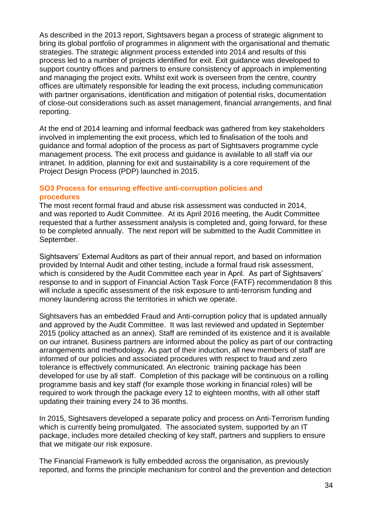As described in the 2013 report, Sightsavers began a process of strategic alignment to bring its global portfolio of programmes in alignment with the organisational and thematic strategies. The strategic alignment process extended into 2014 and results of this process led to a number of projects identified for exit. Exit guidance was developed to support country offices and partners to ensure consistency of approach in implementing and managing the project exits. Whilst exit work is overseen from the centre, country offices are ultimately responsible for leading the exit process, including communication with partner organisations, identification and mitigation of potential risks, documentation of close-out considerations such as asset management, financial arrangements, and final reporting.

At the end of 2014 learning and informal feedback was gathered from key stakeholders involved in implementing the exit process, which led to finalisation of the tools and guidance and formal adoption of the process as part of Sightsavers programme cycle management process. The exit process and guidance is available to all staff via our intranet. In addition, planning for exit and sustainability is a core requirement of the Project Design Process (PDP) launched in 2015.

# **SO3 Process for ensuring effective anti-corruption policies and procedures**

The most recent formal fraud and abuse risk assessment was conducted in 2014, and was reported to Audit Committee. At its April 2016 meeting, the Audit Committee requested that a further assessment analysis is completed and, going forward, for these to be completed annually. The next report will be submitted to the Audit Committee in September.

Sightsavers' External Auditors as part of their annual report, and based on information provided by Internal Audit and other testing, include a formal fraud risk assessment, which is considered by the Audit Committee each year in April. As part of Sightsavers' response to and in support of Financial Action Task Force (FATF) recommendation 8 this will include a specific assessment of the risk exposure to anti-terrorism funding and money laundering across the territories in which we operate.

Sightsavers has an embedded Fraud and Anti-corruption policy that is updated annually and approved by the Audit Committee. It was last reviewed and updated in September 2015 (policy attached as an annex). Staff are reminded of its existence and it is available on our intranet. Business partners are informed about the policy as part of our contracting arrangements and methodology. As part of their induction, all new members of staff are informed of our policies and associated procedures with respect to fraud and zero tolerance is effectively communicated. An electronic training package has been developed for use by all staff. Completion of this package will be continuous on a rolling programme basis and key staff (for example those working in financial roles) will be required to work through the package every 12 to eighteen months, with all other staff updating their training every 24 to 36 months.

In 2015, Sightsavers developed a separate policy and process on Anti-Terrorism funding which is currently being promulgated. The associated system, supported by an IT package, includes more detailed checking of key staff, partners and suppliers to ensure that we mitigate our risk exposure.

The Financial Framework is fully embedded across the organisation, as previously reported, and forms the principle mechanism for control and the prevention and detection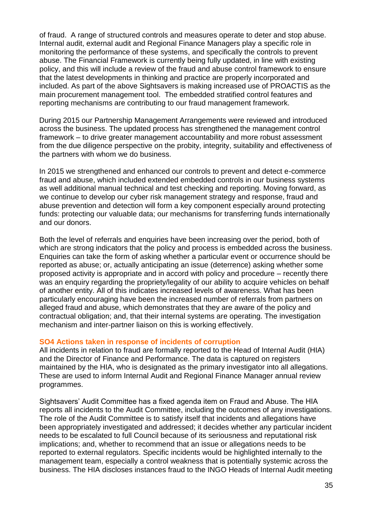of fraud. A range of structured controls and measures operate to deter and stop abuse. Internal audit, external audit and Regional Finance Managers play a specific role in monitoring the performance of these systems, and specifically the controls to prevent abuse. The Financial Framework is currently being fully updated, in line with existing policy, and this will include a review of the fraud and abuse control framework to ensure that the latest developments in thinking and practice are properly incorporated and included. As part of the above Sightsavers is making increased use of PROACTIS as the main procurement management tool. The embedded stratified control features and reporting mechanisms are contributing to our fraud management framework.

During 2015 our Partnership Management Arrangements were reviewed and introduced across the business. The updated process has strengthened the management control framework – to drive greater management accountability and more robust assessment from the due diligence perspective on the probity, integrity, suitability and effectiveness of the partners with whom we do business.

In 2015 we strengthened and enhanced our controls to prevent and detect e-commerce fraud and abuse, which included extended embedded controls in our business systems as well additional manual technical and test checking and reporting. Moving forward, as we continue to develop our cyber risk management strategy and response, fraud and abuse prevention and detection will form a key component especially around protecting funds: protecting our valuable data; our mechanisms for transferring funds internationally and our donors.

Both the level of referrals and enquiries have been increasing over the period, both of which are strong indicators that the policy and process is embedded across the business. Enquiries can take the form of asking whether a particular event or occurrence should be reported as abuse; or, actually anticipating an issue (deterrence) asking whether some proposed activity is appropriate and in accord with policy and procedure – recently there was an enquiry regarding the propriety/legality of our ability to acquire vehicles on behalf of another entity. All of this indicates increased levels of awareness. What has been particularly encouraging have been the increased number of referrals from partners on alleged fraud and abuse, which demonstrates that they are aware of the policy and contractual obligation; and, that their internal systems are operating. The investigation mechanism and inter-partner liaison on this is working effectively.

#### **SO4 Actions taken in response of incidents of corruption**

All incidents in relation to fraud are formally reported to the Head of Internal Audit (HIA) and the Director of Finance and Performance. The data is captured on registers maintained by the HIA, who is designated as the primary investigator into all allegations. These are used to inform Internal Audit and Regional Finance Manager annual review programmes.

Sightsavers' Audit Committee has a fixed agenda item on Fraud and Abuse. The HIA reports all incidents to the Audit Committee, including the outcomes of any investigations. The role of the Audit Committee is to satisfy itself that incidents and allegations have been appropriately investigated and addressed; it decides whether any particular incident needs to be escalated to full Council because of its seriousness and reputational risk implications; and, whether to recommend that an issue or allegations needs to be reported to external regulators. Specific incidents would be highlighted internally to the management team, especially a control weakness that is potentially systemic across the business. The HIA discloses instances fraud to the INGO Heads of Internal Audit meeting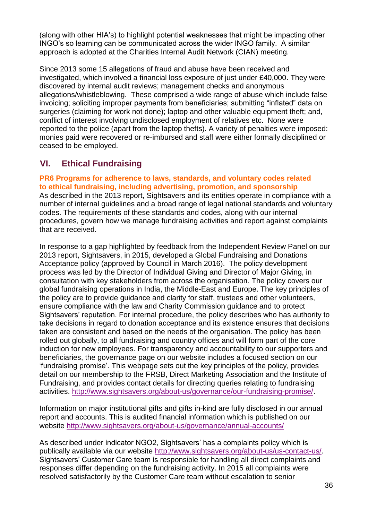(along with other HIA's) to highlight potential weaknesses that might be impacting other INGO's so learning can be communicated across the wider INGO family. A similar approach is adopted at the Charities Internal Audit Network (CIAN) meeting.

Since 2013 some 15 allegations of fraud and abuse have been received and investigated, which involved a financial loss exposure of just under £40,000. They were discovered by internal audit reviews; management checks and anonymous allegations/whistleblowing. These comprised a wide range of abuse which include false invoicing; soliciting improper payments from beneficiaries; submitting "inflated" data on surgeries (claiming for work not done); laptop and other valuable equipment theft; and, conflict of interest involving undisclosed employment of relatives etc. None were reported to the police (apart from the laptop thefts). A variety of penalties were imposed: monies paid were recovered or re-imbursed and staff were either formally disciplined or ceased to be employed.

# **VI. Ethical Fundraising**

**PR6 Programs for adherence to laws, standards, and voluntary codes related to ethical fundraising, including advertising, promotion, and sponsorship**  As described in the 2013 report, Sightsavers and its entities operate in compliance with a number of internal guidelines and a broad range of legal national standards and voluntary codes. The requirements of these standards and codes, along with our internal procedures, govern how we manage fundraising activities and report against complaints that are received.

In response to a gap highlighted by feedback from the Independent Review Panel on our 2013 report, Sightsavers, in 2015, developed a Global Fundraising and Donations Acceptance policy (approved by Council in March 2016). The policy development process was led by the Director of Individual Giving and Director of Major Giving, in consultation with key stakeholders from across the organisation. The policy covers our global fundraising operations in India, the Middle-East and Europe. The key principles of the policy are to provide guidance and clarity for staff, trustees and other volunteers, ensure compliance with the law and Charity Commission guidance and to protect Sightsavers' reputation. For internal procedure, the policy describes who has authority to take decisions in regard to donation acceptance and its existence ensures that decisions taken are consistent and based on the needs of the organisation. The policy has been rolled out globally, to all fundraising and country offices and will form part of the core induction for new employees. For transparency and accountability to our supporters and beneficiaries, the governance page on our website includes a focused section on our 'fundraising promise'. This webpage sets out the key principles of the policy, provides detail on our membership to the FRSB, Direct Marketing Association and the Institute of Fundraising, and provides contact details for directing queries relating to fundraising activities. [http://www.sightsavers.org/about-us/governance/our-fundraising-promise/.](http://www.sightsavers.org/about-us/governance/our-fundraising-promise/)

Information on major institutional gifts and gifts in-kind are fully disclosed in our annual report and accounts. This is audited financial information which is published on our website<http://www.sightsavers.org/about-us/governance/annual-accounts/>

As described under indicator NGO2, Sightsavers' has a complaints policy which is publically available via our website [http://www.sightsavers.org/about-us/us-contact-us/.](http://www.sightsavers.org/about-us/us-contact-us/) Sightsavers' Customer Care team is responsible for handling all direct complaints and responses differ depending on the fundraising activity. In 2015 all complaints were resolved satisfactorily by the Customer Care team without escalation to senior